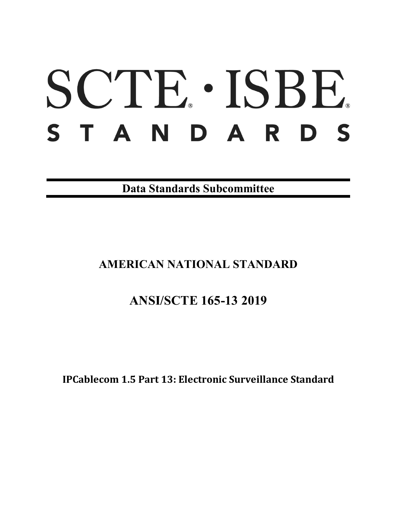# SCTE · ISBE. STANDARDS

**Data Standards Subcommittee**

# **AMERICAN NATIONAL STANDARD**

# **ANSI/SCTE 165-13 2019**

**IPCablecom 1.5 Part 13: Electronic Surveillance Standard**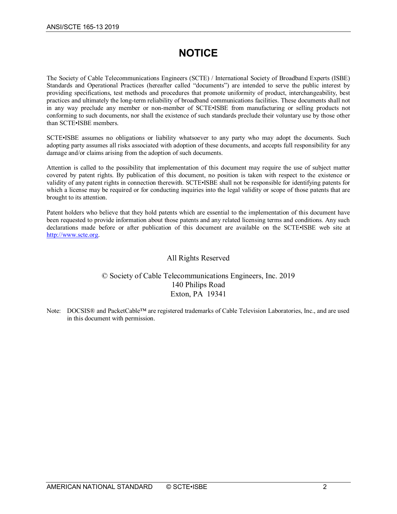# **NOTICE**

The Society of Cable Telecommunications Engineers (SCTE) / International Society of Broadband Experts (ISBE) Standards and Operational Practices (hereafter called "documents") are intended to serve the public interest by providing specifications, test methods and procedures that promote uniformity of product, interchangeability, best practices and ultimately the long-term reliability of broadband communications facilities. These documents shall not in any way preclude any member or non-member of SCTE•ISBE from manufacturing or selling products not conforming to such documents, nor shall the existence of such standards preclude their voluntary use by those other than SCTE•ISBE members.

SCTE•ISBE assumes no obligations or liability whatsoever to any party who may adopt the documents. Such adopting party assumes all risks associated with adoption of these documents, and accepts full responsibility for any damage and/or claims arising from the adoption of such documents.

Attention is called to the possibility that implementation of this document may require the use of subject matter covered by patent rights. By publication of this document, no position is taken with respect to the existence or validity of any patent rights in connection therewith. SCTE•ISBE shall not be responsible for identifying patents for which a license may be required or for conducting inquiries into the legal validity or scope of those patents that are brought to its attention.

Patent holders who believe that they hold patents which are essential to the implementation of this document have been requested to provide information about those patents and any related licensing terms and conditions. Any such declarations made before or after publication of this document are available on the SCTE•ISBE web site at [http://www.scte.org.](http://www.scte.org/)

#### All Rights Reserved

## © Society of Cable Telecommunications Engineers, Inc. 2019 140 Philips Road Exton, PA 19341

Note: DOCSIS® and PacketCable™ are registered trademarks of Cable Television Laboratories, Inc., and are used in this document with permission.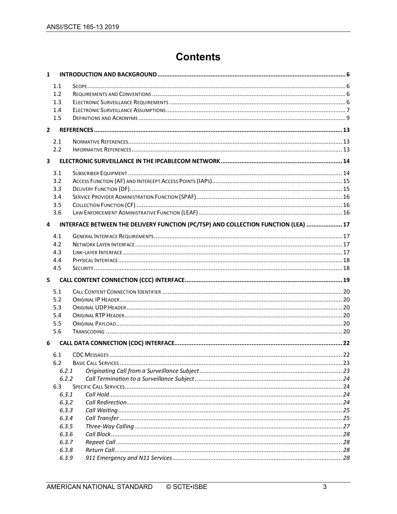# **Contents**

| 1            |                  |                                                                                    |  |
|--------------|------------------|------------------------------------------------------------------------------------|--|
|              | 1.1              |                                                                                    |  |
|              | 1.2 <sub>2</sub> |                                                                                    |  |
|              | 1.3              |                                                                                    |  |
|              | 1.4              |                                                                                    |  |
|              | 1.5              |                                                                                    |  |
| $\mathbf{2}$ |                  |                                                                                    |  |
|              | 2.1              |                                                                                    |  |
|              | 2.2              |                                                                                    |  |
| 3            |                  |                                                                                    |  |
|              | 3.1              |                                                                                    |  |
|              | 3.2              |                                                                                    |  |
|              | 3.3              |                                                                                    |  |
|              | 3.4              |                                                                                    |  |
|              | 3.5              |                                                                                    |  |
|              | 3.6              |                                                                                    |  |
| 4            |                  | INTERFACE BETWEEN THE DELIVERY FUNCTION (PC/TSP) AND COLLECTION FUNCTION (LEA)  17 |  |
|              | 4.1              |                                                                                    |  |
|              | 4.2              |                                                                                    |  |
|              | 4.3              |                                                                                    |  |
|              | 4.4              |                                                                                    |  |
|              | 4.5              |                                                                                    |  |
| 5            |                  |                                                                                    |  |
|              | 5.1              |                                                                                    |  |
|              | 5.2              |                                                                                    |  |
|              | 5.3              |                                                                                    |  |
|              | 5.4              |                                                                                    |  |
|              | 5.5              |                                                                                    |  |
|              | 5.6              |                                                                                    |  |
| 6            |                  |                                                                                    |  |
|              | 6.1              |                                                                                    |  |
|              | 6.2              |                                                                                    |  |
|              | 6.2.1            |                                                                                    |  |
|              | 6.2.2            |                                                                                    |  |
|              | 6.3              |                                                                                    |  |
|              | 6.3.1            |                                                                                    |  |
|              | 6.3.2            |                                                                                    |  |
|              | 6.3.3            |                                                                                    |  |
|              | 6.3.4            |                                                                                    |  |
|              | 6.3.5            |                                                                                    |  |
|              | 6.3.6            |                                                                                    |  |
|              | 6.3.7            |                                                                                    |  |
|              | 6.3.8            |                                                                                    |  |
|              | 6.3.9            |                                                                                    |  |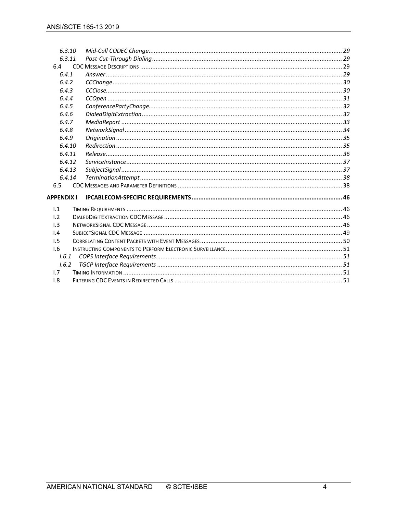|                         | 6.3.10 |  |  |
|-------------------------|--------|--|--|
| 6.3.11                  |        |  |  |
| 6.4                     |        |  |  |
| 6.4.1<br>6.4.2<br>6.4.3 |        |  |  |
|                         |        |  |  |
|                         |        |  |  |
| 6.4.4                   |        |  |  |
| 6.4.5<br>6.4.6<br>6.4.7 |        |  |  |
|                         |        |  |  |
|                         |        |  |  |
| 6.4.8                   |        |  |  |
| 6.4.9<br>6.4.10         |        |  |  |
|                         |        |  |  |
|                         | 6.4.11 |  |  |
|                         | 6.4.12 |  |  |
|                         | 6.4.13 |  |  |
|                         | 6.4.14 |  |  |
| 6.5                     |        |  |  |
| <b>APPENDIX I</b>       |        |  |  |
|                         |        |  |  |
| 1.1                     |        |  |  |
| $\mathsf{L}2$           |        |  |  |
| 1.3                     |        |  |  |
| 1.4                     |        |  |  |
| 1.5                     |        |  |  |
| 1.6                     |        |  |  |
| 1.6.1                   |        |  |  |
| 1.6.2                   |        |  |  |
| 1.7                     |        |  |  |
| 1.8                     |        |  |  |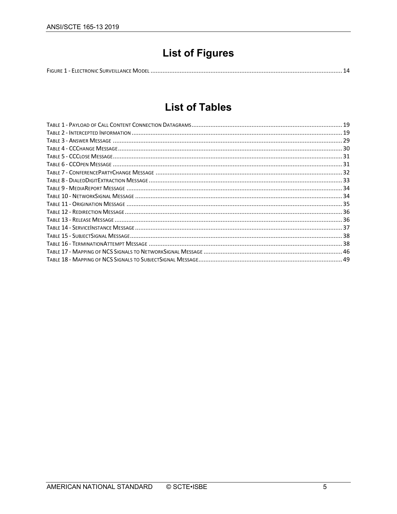# **List of Figures**

|--|--|

# **List of Tables**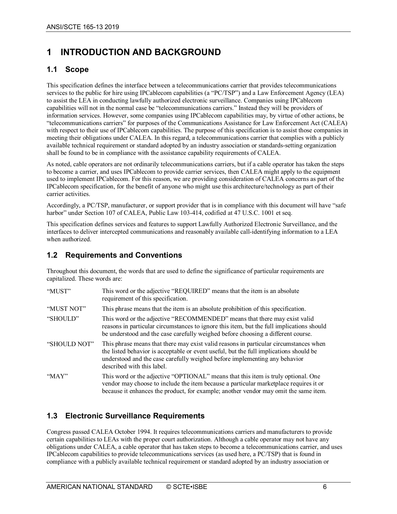# <span id="page-5-0"></span>**1 INTRODUCTION AND BACKGROUND**

# <span id="page-5-1"></span>**1.1 Scope**

This specification defines the interface between a telecommunications carrier that provides telecommunications services to the public for hire using IPCablecom capabilities (a "PC/TSP") and a Law Enforcement Agency (LEA) to assist the LEA in conducting lawfully authorized electronic surveillance. Companies using IPCablecom capabilities will not in the normal case be "telecommunications carriers." Instead they will be providers of information services. However, some companies using IPCablecom capabilities may, by virtue of other actions, be "telecommunications carriers" for purposes of the Communications Assistance for Law Enforcement Act (CALEA) with respect to their use of IPCablecom capabilities. The purpose of this specification is to assist those companies in meeting their obligations under CALEA. In this regard, a telecommunications carrier that complies with a publicly available technical requirement or standard adopted by an industry association or standards-setting organization shall be found to be in compliance with the assistance capability requirements of CALEA.

As noted, cable operators are not ordinarily telecommunications carriers, but if a cable operator has taken the steps to become a carrier, and uses IPCablecom to provide carrier services, then CALEA might apply to the equipment used to implement IPCablecom. For this reason, we are providing consideration of CALEA concerns as part of the IPCablecom specification, for the benefit of anyone who might use this architecture/technology as part of their carrier activities.

Accordingly, a PC/TSP, manufacturer, or support provider that is in compliance with this document will have "safe harbor" under Section 107 of CALEA, Public Law 103-414, codified at 47 U.S.C. 1001 et seq.

This specification defines services and features to support Lawfully Authorized Electronic Surveillance, and the interfaces to deliver intercepted communications and reasonably available call-identifying information to a LEA when authorized.

## <span id="page-5-2"></span>**1.2 Requirements and Conventions**

Throughout this document, the words that are used to define the significance of particular requirements are capitalized. These words are:

| "MUST"       | This word or the adjective "REQUIRED" means that the item is an absolute<br>requirement of this specification.                                                                                                                                                                              |
|--------------|---------------------------------------------------------------------------------------------------------------------------------------------------------------------------------------------------------------------------------------------------------------------------------------------|
| "MUST NOT"   | This phrase means that the item is an absolute prohibition of this specification.                                                                                                                                                                                                           |
| "SHOULD"     | This word or the adjective "RECOMMENDED" means that there may exist valid<br>reasons in particular circumstances to ignore this item, but the full implications should<br>be understood and the case carefully weighed before choosing a different course.                                  |
| "SHOULD NOT" | This phrase means that there may exist valid reasons in particular circumstances when<br>the listed behavior is acceptable or event useful, but the full implications should be<br>understood and the case carefully weighed before implementing any behavior<br>described with this label. |
| "MAY"        | This word or the adjective "OPTIONAL" means that this item is truly optional. One<br>vendor may choose to include the item because a particular marketplace requires it or<br>because it enhances the product, for example; another vendor may omit the same item.                          |

# <span id="page-5-3"></span>**1.3 Electronic Surveillance Requirements**

Congress passed CALEA October 1994. It requires telecommunications carriers and manufacturers to provide certain capabilities to LEAs with the proper court authorization. Although a cable operator may not have any obligations under CALEA, a cable operator that has taken steps to become a telecommunications carrier, and uses IPCablecom capabilities to provide telecommunications services (as used here, a PC/TSP) that is found in compliance with a publicly available technical requirement or standard adopted by an industry association or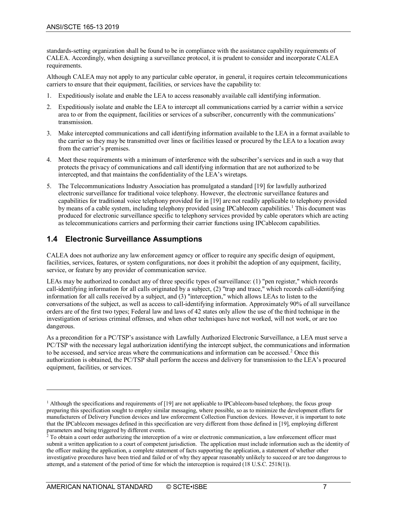standards-setting organization shall be found to be in compliance with the assistance capability requirements of CALEA. Accordingly, when designing a surveillance protocol, it is prudent to consider and incorporate CALEA requirements.

Although CALEA may not apply to any particular cable operator, in general, it requires certain telecommunications carriers to ensure that their equipment, facilities, or services have the capability to:

- 1. Expeditiously isolate and enable the LEA to access reasonably available call identifying information.
- 2. Expeditiously isolate and enable the LEA to intercept all communications carried by a carrier within a service area to or from the equipment, facilities or services of a subscriber, concurrently with the communications' transmission.
- 3. Make intercepted communications and call identifying information available to the LEA in a format available to the carrier so they may be transmitted over lines or facilities leased or procured by the LEA to a location away from the carrier's premises.
- 4. Meet these requirements with a minimum of interference with the subscriber's services and in such a way that protects the privacy of communications and call identifying information that are not authorized to be intercepted, and that maintains the confidentiality of the LEA's wiretaps.
- 5. The Telecommunications Industry Association has promulgated a standard [\[19\]](#page-12-3) for lawfully authorized electronic surveillance for traditional voice telephony. However, the electronic surveillance features and capabilities for traditional voice telephony provided for in [\[19\]](#page-12-3) are not readily applicable to telephony provided by means of a cable system, including telephony provided using IPCablecom capabilities.<sup>[1](#page-6-1)</sup> This document was produced for electronic surveillance specific to telephony services provided by cable operators which are acting as telecommunications carriers and performing their carrier functions using IPCablecom capabilities.

# <span id="page-6-0"></span>**1.4 Electronic Surveillance Assumptions**

CALEA does not authorize any law enforcement agency or officer to require any specific design of equipment, facilities, services, features, or system configurations, nor does it prohibit the adoption of any equipment, facility, service, or feature by any provider of communication service.

LEAs may be authorized to conduct any of three specific types of surveillance: (1) "pen register," which records call-identifying information for all calls originated by a subject, (2) "trap and trace," which records call-identifying information for all calls received by a subject, and (3) "interception," which allows LEAs to listen to the conversations of the subject, as well as access to call-identifying information. Approximately 90% of all surveillance orders are of the first two types; Federal law and laws of 42 states only allow the use of the third technique in the investigation of serious criminal offenses, and when other techniques have not worked, will not work, or are too dangerous.

As a precondition for a PC/TSP's assistance with Lawfully Authorized Electronic Surveillance, a LEA must serve a PC/TSP with the necessary legal authorization identifying the intercept subject, the communications and information to be accessed, and service areas where the communications and information can be accessed.[2](#page-6-2) Once this authorization is obtained, the PC/TSP shall perform the access and delivery for transmission to the LEA's procured equipment, facilities, or services.

 $\overline{a}$ 

<span id="page-6-1"></span> $<sup>1</sup>$  Although the specifications and requirements o[f \[19\]](#page-12-3) are not applicable to IPCablecom-based telephony, the focus group</sup> preparing this specification sought to employ similar messaging, where possible, so as to minimize the development efforts for manufacturers of Delivery Function devices and law enforcement Collection Function devices. However, it is important to note that the IPCablecom messages defined in this specification are very different from those defined in [\[19\],](#page-12-3) employing different parameters and being triggered by different events.

<span id="page-6-2"></span> $^2$  To obtain a court order authorizing the interception of a wire or electronic communication, a law enforcement officer must submit a written application to a court of competent jurisdiction. The application must include information such as the identity of the officer making the application, a complete statement of facts supporting the application, a statement of whether other investigative procedures have been tried and failed or of why they appear reasonably unlikely to succeed or are too dangerous to attempt, and a statement of the period of time for which the interception is required (18 U.S.C. 2518(1)).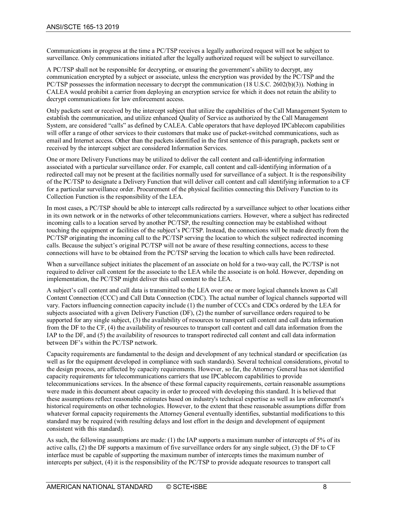Communications in progress at the time a PC/TSP receives a legally authorized request will not be subject to surveillance. Only communications initiated after the legally authorized request will be subject to surveillance.

A PC/TSP shall not be responsible for decrypting, or ensuring the government's ability to decrypt, any communication encrypted by a subject or associate, unless the encryption was provided by the PC/TSP and the PC/TSP possesses the information necessary to decrypt the communication (18 U.S.C. 2602(b)(3)). Nothing in CALEA would prohibit a carrier from deploying an encryption service for which it does not retain the ability to decrypt communications for law enforcement access.

Only packets sent or received by the intercept subject that utilize the capabilities of the Call Management System to establish the communication, and utilize enhanced Quality of Service as authorized by the Call Management System, are considered "calls" as defined by CALEA. Cable operators that have deployed IPCablecom capabilities will offer a range of other services to their customers that make use of packet-switched communications, such as email and Internet access. Other than the packets identified in the first sentence of this paragraph, packets sent or received by the intercept subject are considered Information Services.

One or more Delivery Functions may be utilized to deliver the call content and call-identifying information associated with a particular surveillance order. For example, call content and call-identifying information of a redirected call may not be present at the facilities normally used for surveillance of a subject. It is the responsibility of the PC/TSP to designate a Delivery Function that will deliver call content and call identifying information to a CF for a particular surveillance order. Procurement of the physical facilities connecting this Delivery Function to its Collection Function is the responsibility of the LEA.

In most cases, a PC/TSP should be able to intercept calls redirected by a surveillance subject to other locations either in its own network or in the networks of other telecommunications carriers. However, where a subject has redirected incoming calls to a location served by another PC/TSP, the resulting connection may be established without touching the equipment or facilities of the subject's PC/TSP. Instead, the connections will be made directly from the PC/TSP originating the incoming call to the PC/TSP serving the location to which the subject redirected incoming calls. Because the subject's original PC/TSP will not be aware of these resulting connections, access to these connections will have to be obtained from the PC/TSP serving the location to which calls have been redirected.

When a surveillance subject initiates the placement of an associate on hold for a two-way call, the PC/TSP is not required to deliver call content for the associate to the LEA while the associate is on hold. However, depending on implementation, the PC/TSP might deliver this call content to the LEA.

A subject's call content and call data is transmitted to the LEA over one or more logical channels known as Call Content Connection (CCC) and Call Data Connection (CDC). The actual number of logical channels supported will vary. Factors influencing connection capacity include (1) the number of CCCs and CDCs ordered by the LEA for subjects associated with a given Delivery Function (DF), (2) the number of surveillance orders required to be supported for any single subject, (3) the availability of resources to transport call content and call data information from the DF to the CF, (4) the availability of resources to transport call content and call data information from the IAP to the DF, and (5) the availability of resources to transport redirected call content and call data information between DF's within the PC/TSP network.

Capacity requirements are fundamental to the design and development of any technical standard or specification (as well as for the equipment developed in compliance with such standards). Several technical considerations, pivotal to the design process, are affected by capacity requirements. However, so far, the Attorney General has not identified capacity requirements for telecommunications carriers that use IPCablecom capabilities to provide telecommunications services. In the absence of these formal capacity requirements, certain reasonable assumptions were made in this document about capacity in order to proceed with developing this standard. It is believed that these assumptions reflect reasonable estimates based on industry's technical expertise as well as law enforcement's historical requirements on other technologies. However, to the extent that these reasonable assumptions differ from whatever formal capacity requirements the Attorney General eventually identifies, substantial modifications to this standard may be required (with resulting delays and lost effort in the design and development of equipment consistent with this standard).

As such, the following assumptions are made: (1) the IAP supports a maximum number of intercepts of 5% of its active calls, (2) the DF supports a maximum of five surveillance orders for any single subject, (3) the DF to CF interface must be capable of supporting the maximum number of intercepts times the maximum number of intercepts per subject, (4) it is the responsibility of the PC/TSP to provide adequate resources to transport call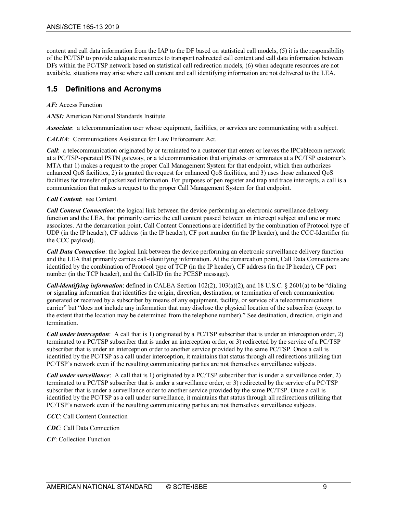content and call data information from the IAP to the DF based on statistical call models, (5) it is the responsibility of the PC/TSP to provide adequate resources to transport redirected call content and call data information between DFs within the PC/TSP network based on statistical call redirection models, (6) when adequate resources are not available, situations may arise where call content and call identifying information are not delivered to the LEA.

# <span id="page-8-0"></span>**1.5 Definitions and Acronyms**

*AF:* Access Function

*ANSI:* American National Standards Institute.

*Associate*: a telecommunication user whose equipment, facilities, or services are communicating with a subject.

*CALEA*: Communications Assistance for Law Enforcement Act.

*Call*: a telecommunication originated by or terminated to a customer that enters or leaves the IPCablecom network at a PC/TSP-operated PSTN gateway, or a telecommunication that originates or terminates at a PC/TSP customer's MTA that 1) makes a request to the proper Call Management System for that endpoint, which then authorizes enhanced QoS facilities, 2) is granted the request for enhanced QoS facilities, and 3) uses those enhanced QoS facilities for transfer of packetized information. For purposes of pen register and trap and trace intercepts, a call is a communication that makes a request to the proper Call Management System for that endpoint.

*Call Content*: see Content.

*Call Content Connection*: the logical link between the device performing an electronic surveillance delivery function and the LEA, that primarily carries the call content passed between an intercept subject and one or more associates. At the demarcation point, Call Content Connections are identified by the combination of Protocol type of UDP (in the IP header), CF address (in the IP header), CF port number (in the IP header), and the CCC-Identifier (in the CCC payload).

*Call Data Connection*: the logical link between the device performing an electronic surveillance delivery function and the LEA that primarily carries call-identifying information. At the demarcation point, Call Data Connections are identified by the combination of Protocol type of TCP (in the IP header), CF address (in the IP header), CF port number (in the TCP header), and the Call-ID (in the PCESP message).

*Call-identifying information*: defined in CALEA Section 102(2), 103(a)(2), and 18 U.S.C. § 2601(a) to be "dialing or signaling information that identifies the origin, direction, destination, or termination of each communication generated or received by a subscriber by means of any equipment, facility, or service of a telecommunications carrier" but "does not include any information that may disclose the physical location of the subscriber (except to the extent that the location may be determined from the telephone number)." See destination, direction, origin and termination.

*Call under interception*: A call that is 1) originated by a PC/TSP subscriber that is under an interception order, 2) terminated to a PC/TSP subscriber that is under an interception order, or 3) redirected by the service of a PC/TSP subscriber that is under an interception order to another service provided by the same PC/TSP. Once a call is identified by the PC/TSP as a call under interception, it maintains that status through all redirections utilizing that PC/TSP's network even if the resulting communicating parties are not themselves surveillance subjects.

*Call under surveillance*: A call that is 1) originated by a PC/TSP subscriber that is under a surveillance order, 2) terminated to a PC/TSP subscriber that is under a surveillance order, or 3) redirected by the service of a PC/TSP subscriber that is under a surveillance order to another service provided by the same PC/TSP. Once a call is identified by the PC/TSP as a call under surveillance, it maintains that status through all redirections utilizing that PC/TSP's network even if the resulting communicating parties are not themselves surveillance subjects.

*CCC*: Call Content Connection

*CDC*: Call Data Connection

*CF*: Collection Function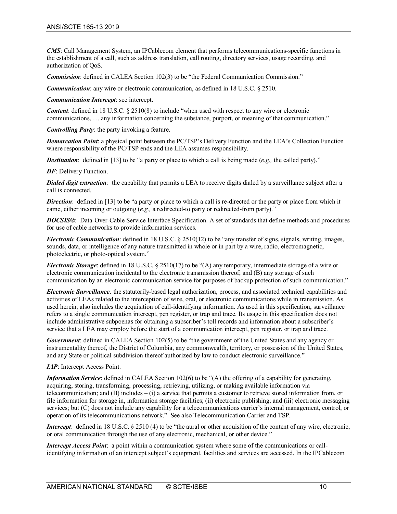*CMS*: Call Management System, an IPCablecom element that performs telecommunications-specific functions in the establishment of a call, such as address translation, call routing, directory services, usage recording, and authorization of QoS.

*Commission:* defined in CALEA Section 102(3) to be "the Federal Communication Commission."

*Communication*: any wire or electronic communication, as defined in 18 U.S.C. § 2510.

*Communication Intercept*: see intercept.

*Content*: defined in 18 U.S.C. § 2510(8) to include "when used with respect to any wire or electronic communications, … any information concerning the substance, purport, or meaning of that communication."

*Controlling Party*: the party invoking a feature.

*Demarcation Point*: a physical point between the PC/TSP's Delivery Function and the LEA's Collection Function where responsibility of the PC/TSP ends and the LEA assumes responsibility.

*Destination*: defined in [\[13\]](#page-12-4) to be "a party or place to which a call is being made (*e.g.,* the called party)."

*DF*: Delivery Function.

*Dialed digit extraction:* the capability that permits a LEA to receive digits dialed by a surveillance subject after a call is connected.

*Direction*: defined in [\[13\]](#page-12-4) to be "a party or place to which a call is re-directed or the party or place from which it came, either incoming or outgoing (*e.g.,* a redirected-to party or redirected-from party)."

*DOCSIS®*: Data-Over-Cable Service Interface Specification. A set of standards that define methods and procedures for use of cable networks to provide information services.

*Electronic Communication*: defined in 18 U.S.C. § 2510(12) to be "any transfer of signs, signals, writing, images, sounds, data, or intelligence of any nature transmitted in whole or in part by a wire, radio, electromagnetic, photoelectric, or photo-optical system."

*Electronic Storage*: defined in 18 U.S.C. § 2510(17) to be "(A) any temporary, intermediate storage of a wire or electronic communication incidental to the electronic transmission thereof; and (B) any storage of such communication by an electronic communication service for purposes of backup protection of such communication."

*Electronic Surveillance:* the statutorily-based legal authorization, process, and associated technical capabilities and activities of LEAs related to the interception of wire, oral, or electronic communications while in transmission. As used herein, also includes the acquisition of call-identifying information. As used in this specification, surveillance refers to a single communication intercept, pen register, or trap and trace. Its usage in this specification does not include administrative subpoenas for obtaining a subscriber's toll records and information about a subscriber's service that a LEA may employ before the start of a communication intercept, pen register, or trap and trace.

*Government*: defined in CALEA Section 102(5) to be "the government of the United States and any agency or instrumentality thereof, the District of Columbia, any commonwealth, territory, or possession of the United States, and any State or political subdivision thereof authorized by law to conduct electronic surveillance."

*IAP*: Intercept Access Point.

*Information Service*: defined in CALEA Section 102(6) to be "(A) the offering of a capability for generating, acquiring, storing, transforming, processing, retrieving, utilizing, or making available information via telecommunication; and (B) includes – (i) a service that permits a customer to retrieve stored information from, or file information for storage in, information storage facilities; (ii) electronic publishing; and (iii) electronic messaging services; but (C) does not include any capability for a telecommunications carrier's internal management, control, or operation of its telecommunications network." See also Telecommunication Carrier and TSP.

*Intercept*: defined in 18 U.S.C. § 2510 (4) to be "the aural or other acquisition of the content of any wire, electronic, or oral communication through the use of any electronic, mechanical, or other device."

*Intercept Access Point*: a point within a communication system where some of the communications or callidentifying information of an intercept subject's equipment, facilities and services are accessed. In the IPCablecom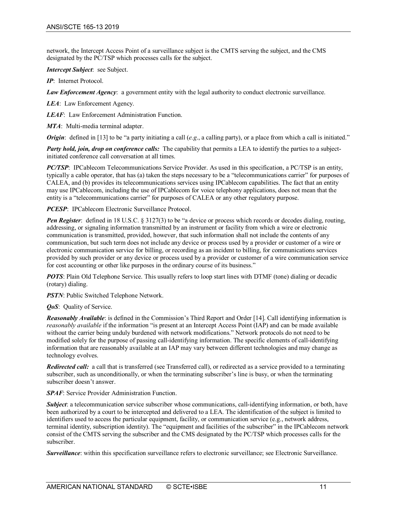network, the Intercept Access Point of a surveillance subject is the CMTS serving the subject, and the CMS designated by the PC/TSP which processes calls for the subject.

*Intercept Subject*: see Subject.

*IP*: Internet Protocol.

*Law Enforcement Agency*: a government entity with the legal authority to conduct electronic surveillance.

*LEA*: Law Enforcement Agency.

*LEAF*: Law Enforcement Administration Function.

*MTA*: Multi-media terminal adapter.

*Origin*: defined in [\[13\]](#page-12-4) to be "a party initiating a call (*e.g.*, a calling party), or a place from which a call is initiated."

*Party hold, join, drop on conference calls:* The capability that permits a LEA to identify the parties to a subjectinitiated conference call conversation at all times.

*PC/TSP*: IPCablecom Telecommunications Service Provider. As used in this specification, a PC/TSP is an entity, typically a cable operator, that has (a) taken the steps necessary to be a "telecommunications carrier" for purposes of CALEA, and (b) provides its telecommunications services using IPCablecom capabilities. The fact that an entity may use IPCablecom, including the use of IPCablecom for voice telephony applications, does not mean that the entity is a "telecommunications carrier" for purposes of CALEA or any other regulatory purpose.

*PCESP*: IPCablecom Electronic Surveillance Protocol.

*Pen Register*: defined in 18 U.S.C. § 3127(3) to be "a device or process which records or decodes dialing, routing, addressing, or signaling information transmitted by an instrument or facility from which a wire or electronic communication is transmitted, provided, however, that such information shall not include the contents of any communication, but such term does not include any device or process used by a provider or customer of a wire or electronic communication service for billing, or recording as an incident to billing, for communications services provided by such provider or any device or process used by a provider or customer of a wire communication service for cost accounting or other like purposes in the ordinary course of its business."

*POTS*: Plain Old Telephone Service. This usually refers to loop start lines with DTMF (tone) dialing or decadic (rotary) dialing.

*PSTN*: Public Switched Telephone Network.

*QoS*: Quality of Service.

*Reasonably Available*: is defined in the Commission's Third Report and Orde[r \[14\].](#page-12-5) Call identifying information is *reasonably available* if the information "is present at an Intercept Access Point (IAP) and can be made available without the carrier being unduly burdened with network modifications." Network protocols do not need to be modified solely for the purpose of passing call-identifying information. The specific elements of call-identifying information that are reasonably available at an IAP may vary between different technologies and may change as technology evolves.

*Redirected call:* a call that is transferred (see Transferred call), or redirected as a service provided to a terminating subscriber, such as unconditionally, or when the terminating subscriber's line is busy, or when the terminating subscriber doesn't answer.

*SPAF*: Service Provider Administration Function.

*Subject*: a telecommunication service subscriber whose communications, call-identifying information, or both, have been authorized by a court to be intercepted and delivered to a LEA. The identification of the subject is limited to identifiers used to access the particular equipment, facility, or communication service (e.g., network address, terminal identity, subscription identity). The "equipment and facilities of the subscriber" in the IPCablecom network consist of the CMTS serving the subscriber and the CMS designated by the PC/TSP which processes calls for the subscriber.

*Surveillance*: within this specification surveillance refers to electronic surveillance; see Electronic Surveillance.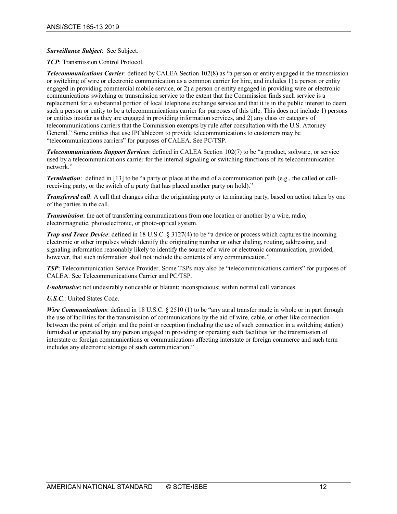#### *Surveillance Subject*: See Subject.

*TCP*: Transmission Control Protocol.

*Telecommunications Carrier*: defined by CALEA Section 102(8) as "a person or entity engaged in the transmission or switching of wire or electronic communication as a common carrier for hire, and includes 1) a person or entity engaged in providing commercial mobile service, or 2) a person or entity engaged in providing wire or electronic communications switching or transmission service to the extent that the Commission finds such service is a replacement for a substantial portion of local telephone exchange service and that it is in the public interest to deem such a person or entity to be a telecommunications carrier for purposes of this title. This does not include 1) persons or entities insofar as they are engaged in providing information services, and 2) any class or category of telecommunications carriers that the Commission exempts by rule after consultation with the U.S. Attorney General." Some entities that use IPCablecom to provide telecommunications to customers may be "telecommunications carriers" for purposes of CALEA. See PC/TSP.

*Telecommunications Support Services*: defined in CALEA Section 102(7) to be "a product, software, or service used by a telecommunications carrier for the internal signaling or switching functions of its telecommunication network."

*Termination*: defined in [\[13\]](#page-12-4) to be "a party or place at the end of a communication path (e.g., the called or callreceiving party, or the switch of a party that has placed another party on hold)."

*Transferred call*: A call that changes either the originating party or terminating party, based on action taken by one of the parties in the call.

*Transmission*: the act of transferring communications from one location or another by a wire, radio, electromagnetic, photoelectronic, or photo-optical system.

*Trap and Trace Device*: defined in 18 U.S.C. § 3127(4) to be "a device or process which captures the incoming electronic or other impulses which identify the originating number or other dialing, routing, addressing, and signaling information reasonably likely to identify the source of a wire or electronic communication, provided, however, that such information shall not include the contents of any communication."

*TSP*: Telecommunication Service Provider. Some TSPs may also be "telecommunications carriers" for purposes of CALEA. See Telecommunications Carrier and PC/TSP.

*Unobtrusive*: not undesirably noticeable or blatant; inconspicuous; within normal call variances.

#### *U.S.C.*: United States Code.

*Wire Communications*: defined in 18 U.S.C. § 2510 (1) to be "any aural transfer made in whole or in part through the use of facilities for the transmission of communications by the aid of wire, cable, or other like connection between the point of origin and the point or reception (including the use of such connection in a switching station) furnished or operated by any person engaged in providing or operating such facilities for the transmission of interstate or foreign communications or communications affecting interstate or foreign commerce and such term includes any electronic storage of such communication."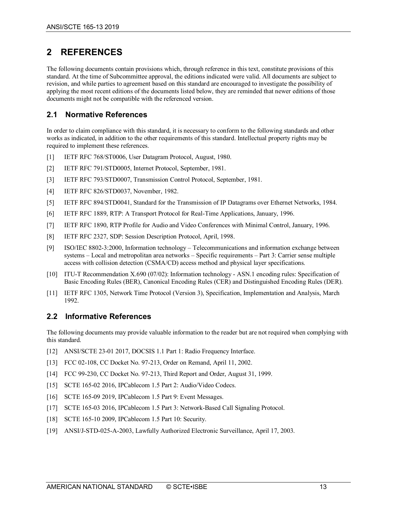# <span id="page-12-0"></span>**2 REFERENCES**

The following documents contain provisions which, through reference in this text, constitute provisions of this standard. At the time of Subcommittee approval, the editions indicated were valid. All documents are subject to revision, and while parties to agreement based on this standard are encouraged to investigate the possibility of applying the most recent editions of the documents listed below, they are reminded that newer editions of those documents might not be compatible with the referenced version.

# <span id="page-12-1"></span>**2.1 Normative References**

In order to claim compliance with this standard, it is necessary to conform to the following standards and other works as indicated, in addition to the other requirements of this standard. Intellectual property rights may be required to implement these references.

- <span id="page-12-11"></span>[1] IETF RFC 768/ST0006, User Datagram Protocol, August, 1980.
- <span id="page-12-7"></span>[2] IETF RFC 791/STD0005, Internet Protocol, September, 1981.
- <span id="page-12-19"></span>[3] IETF RFC 793/STD0007, Transmission Control Protocol, September, 1981.
- <span id="page-12-9"></span>[4] **IETF RFC 826/STD0037, November, 1982.**
- <span id="page-12-8"></span>[5] IETF RFC 894/STD0041, Standard for the Transmission of IP Datagrams over Ethernet Networks, 1984.
- <span id="page-12-14"></span>[6] IETF RFC 1889, RTP: A Transport Protocol for Real-Time Applications, January, 1996.
- <span id="page-12-15"></span>[7] IETF RFC 1890, RTP Profile for Audio and Video Conferences with Minimal Control, January, 1996.
- <span id="page-12-13"></span>[8] IETF RFC 2327, SDP: Session Description Protocol, April, 1998.
- <span id="page-12-10"></span>[9] ISO/IEC 8802-3:2000, Information technology – Telecommunications and information exchange between systems – Local and metropolitan area networks – Specific requirements – Part 3: Carrier sense multiple access with collision detection (CSMA/CD) access method and physical layer specifications.
- <span id="page-12-20"></span>[10] ITU-T Recommendation X.690 (07/02): Information technology - ASN.1 encoding rules: Specification of Basic Encoding Rules (BER), Canonical Encoding Rules (CER) and Distinguished Encoding Rules (DER).
- <span id="page-12-12"></span>[11] IETF RFC 1305, Network Time Protocol (Version 3), Specification, Implementation and Analysis, March 1992.

# <span id="page-12-2"></span>**2.2 Informative References**

The following documents may provide valuable information to the reader but are not required when complying with this standard.

- <span id="page-12-6"></span>[12] ANSI/SCTE 23-01 2017, DOCSIS 1.1 Part 1: Radio Frequency Interface.
- <span id="page-12-4"></span>[13] FCC 02-108, CC Docket No. 97-213, Order on Remand, April 11, 2002.
- <span id="page-12-5"></span>[14] FCC 99-230, CC Docket No. 97-213, Third Report and Order, August 31, 1999.
- <span id="page-12-18"></span>[15] SCTE 165-02 2016, IPCablecom 1.5 Part 2: Audio/Video Codecs.
- <span id="page-12-21"></span>[16] SCTE 165-09 2019, IPCablecom 1.5 Part 9: Event Messages.
- <span id="page-12-17"></span>[17] SCTE 165-03 2016, IPCablecom 1.5 Part 3: Network-Based Call Signaling Protocol.
- <span id="page-12-16"></span>[18] SCTE 165-10 2009, IPCablecom 1.5 Part 10: Security.
- <span id="page-12-3"></span>[19] ANSI/J-STD-025-A-2003, Lawfully Authorized Electronic Surveillance, April 17, 2003.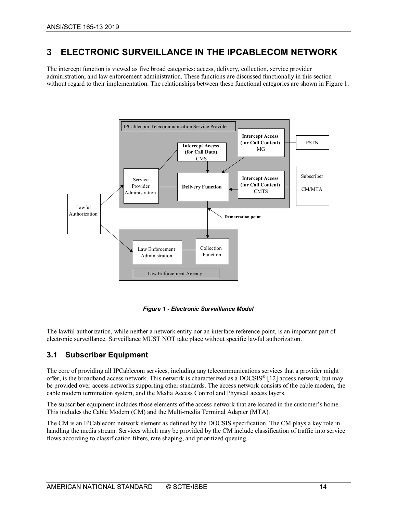# <span id="page-13-0"></span>**3 ELECTRONIC SURVEILLANCE IN THE IPCABLECOM NETWORK**

The intercept function is viewed as five broad categories: access, delivery, collection, service provider administration, and law enforcement administration. These functions are discussed functionally in this section without regard to their implementation. The relationships between these functional categories are shown in [Figure 1.](#page-13-2)



*Figure 1 - Electronic Surveillance Model*

<span id="page-13-2"></span>The lawful authorization, while neither a network entity nor an interface reference point, is an important part of electronic surveillance. Surveillance MUST NOT take place without specific lawful authorization.

# <span id="page-13-1"></span>**3.1 Subscriber Equipment**

The core of providing all IPCablecom services, including any telecommunications services that a provider might offer, is the broadband access network. This network is characterized as a DOCSIS® [\[12\]](#page-12-6) access network, but may be provided over access networks supporting other standards. The access network consists of the cable modem, the cable modem termination system, and the Media Access Control and Physical access layers.

The subscriber equipment includes those elements of the access network that are located in the customer's home. This includes the Cable Modem (CM) and the Multi-media Terminal Adapter (MTA).

The CM is an IPCablecom network element as defined by the DOCSIS specification. The CM plays a key role in handling the media stream. Services which may be provided by the CM include classification of traffic into service flows according to classification filters, rate shaping, and prioritized queuing.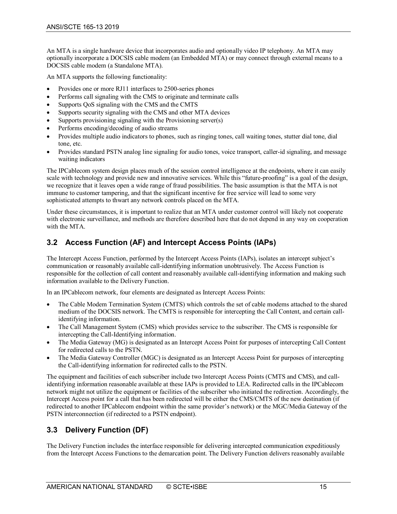An MTA is a single hardware device that incorporates audio and optionally video IP telephony. An MTA may optionally incorporate a DOCSIS cable modem (an Embedded MTA) or may connect through external means to a DOCSIS cable modem (a Standalone MTA).

An MTA supports the following functionality:

- Provides one or more RJ11 interfaces to 2500-series phones
- Performs call signaling with the CMS to originate and terminate calls
- Supports QoS signaling with the CMS and the CMTS
- Supports security signaling with the CMS and other MTA devices
- Supports provisioning signaling with the Provisioning server(s)
- Performs encoding/decoding of audio streams
- Provides multiple audio indicators to phones, such as ringing tones, call waiting tones, stutter dial tone, dial tone, etc.
- Provides standard PSTN analog line signaling for audio tones, voice transport, caller-id signaling, and message waiting indicators

The IPCablecom system design places much of the session control intelligence at the endpoints, where it can easily scale with technology and provide new and innovative services. While this "future-proofing" is a goal of the design, we recognize that it leaves open a wide range of fraud possibilities. The basic assumption is that the MTA is not immune to customer tampering, and that the significant incentive for free service will lead to some very sophisticated attempts to thwart any network controls placed on the MTA.

Under these circumstances, it is important to realize that an MTA under customer control will likely not cooperate with electronic surveillance, and methods are therefore described here that do not depend in any way on cooperation with the MTA.

# <span id="page-14-0"></span>**3.2 Access Function (AF) and Intercept Access Points (IAPs)**

The Intercept Access Function, performed by the Intercept Access Points (IAPs), isolates an intercept subject's communication or reasonably available call-identifying information unobtrusively. The Access Function is responsible for the collection of call content and reasonably available call-identifying information and making such information available to the Delivery Function.

In an IPCablecom network, four elements are designated as Intercept Access Points:

- The Cable Modem Termination System (CMTS) which controls the set of cable modems attached to the shared medium of the DOCSIS network. The CMTS is responsible for intercepting the Call Content, and certain callidentifying information.
- The Call Management System (CMS) which provides service to the subscriber. The CMS is responsible for intercepting the Call-Identifying information.
- The Media Gateway (MG) is designated as an Intercept Access Point for purposes of intercepting Call Content for redirected calls to the PSTN.
- The Media Gateway Controller (MGC) is designated as an Intercept Access Point for purposes of intercepting the Call-identifying information for redirected calls to the PSTN.

The equipment and facilities of each subscriber include two Intercept Access Points (CMTS and CMS), and callidentifying information reasonable available at these IAPs is provided to LEA. Redirected calls in the IPCablecom network might not utilize the equipment or facilities of the subscriber who initiated the redirection. Accordingly, the Intercept Access point for a call that has been redirected will be either the CMS/CMTS of the new destination (if redirected to another IPCablecom endpoint within the same provider's network) or the MGC/Media Gateway of the PSTN interconnection (if redirected to a PSTN endpoint).

# <span id="page-14-1"></span>**3.3 Delivery Function (DF)**

The Delivery Function includes the interface responsible for delivering intercepted communication expeditiously from the Intercept Access Functions to the demarcation point. The Delivery Function delivers reasonably available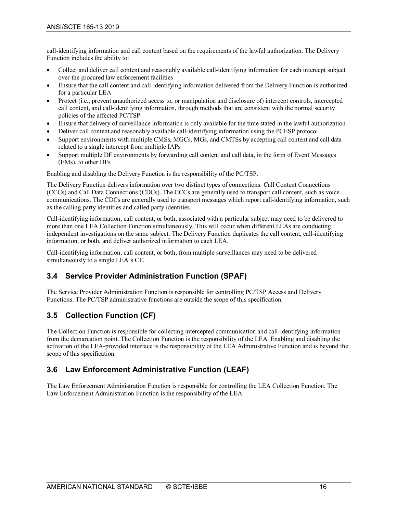call-identifying information and call content based on the requirements of the lawful authorization. The Delivery Function includes the ability to:

- Collect and deliver call content and reasonably available call-identifying information for each intercept subject over the procured law enforcement facilities
- Ensure that the call content and call-identifying information delivered from the Delivery Function is authorized for a particular LEA
- Protect (i.e., prevent unauthorized access to, or manipulation and disclosure of) intercept controls, intercepted call content, and call-identifying information, through methods that are consistent with the normal security policies of the affected PC/TSP
- Ensure that delivery of surveillance information is only available for the time stated in the lawful authorization
- Deliver call content and reasonably available call-identifying information using the PCESP protocol
- Support environments with multiple CMSs, MGCs, MGs, and CMTSs by accepting call content and call data related to a single intercept from multiple IAPs
- Support multiple DF environments by forwarding call content and call data, in the form of Event Messages (EMs), to other DFs

Enabling and disabling the Delivery Function is the responsibility of the PC/TSP.

The Delivery Function delivers information over two distinct types of connections: Call Content Connections (CCCs) and Call Data Connections (CDCs). The CCCs are generally used to transport call content, such as voice communications. The CDCs are generally used to transport messages which report call-identifying information, such as the calling party identities and called party identities.

Call-identifying information, call content, or both, associated with a particular subject may need to be delivered to more than one LEA Collection Function simultaneously. This will occur when different LEAs are conducting independent investigations on the same subject. The Delivery Function duplicates the call content, call-identifying information, or both, and deliver authorized information to each LEA.

Call-identifying information, call content, or both, from multiple surveillances may need to be delivered simultaneously to a single LEA's CF.

# <span id="page-15-0"></span>**3.4 Service Provider Administration Function (SPAF)**

The Service Provider Administration Function is responsible for controlling PC/TSP Access and Delivery Functions. The PC/TSP administrative functions are outside the scope of this specification.

# <span id="page-15-1"></span>**3.5 Collection Function (CF)**

The Collection Function is responsible for collecting intercepted communication and call-identifying information from the demarcation point. The Collection Function is the responsibility of the LEA. Enabling and disabling the activation of the LEA-provided interface is the responsibility of the LEA Administrative Function and is beyond the scope of this specification.

# <span id="page-15-2"></span>**3.6 Law Enforcement Administrative Function (LEAF)**

The Law Enforcement Administration Function is responsible for controlling the LEA Collection Function. The Law Enforcement Administration Function is the responsibility of the LEA.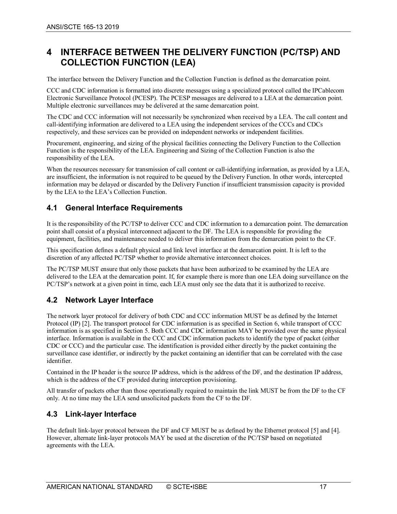# <span id="page-16-0"></span>**4 INTERFACE BETWEEN THE DELIVERY FUNCTION (PC/TSP) AND COLLECTION FUNCTION (LEA)**

The interface between the Delivery Function and the Collection Function is defined as the demarcation point.

CCC and CDC information is formatted into discrete messages using a specialized protocol called the IPCablecom Electronic Surveillance Protocol (PCESP). The PCESP messages are delivered to a LEA at the demarcation point. Multiple electronic surveillances may be delivered at the same demarcation point.

The CDC and CCC information will not necessarily be synchronized when received by a LEA. The call content and call-identifying information are delivered to a LEA using the independent services of the CCCs and CDCs respectively, and these services can be provided on independent networks or independent facilities.

Procurement, engineering, and sizing of the physical facilities connecting the Delivery Function to the Collection Function is the responsibility of the LEA. Engineering and Sizing of the Collection Function is also the responsibility of the LEA.

When the resources necessary for transmission of call content or call-identifying information, as provided by a LEA, are insufficient, the information is not required to be queued by the Delivery Function. In other words, intercepted information may be delayed or discarded by the Delivery Function if insufficient transmission capacity is provided by the LEA to the LEA's Collection Function.

# <span id="page-16-1"></span>**4.1 General Interface Requirements**

It is the responsibility of the PC/TSP to deliver CCC and CDC information to a demarcation point. The demarcation point shall consist of a physical interconnect adjacent to the DF. The LEA is responsible for providing the equipment, facilities, and maintenance needed to deliver this information from the demarcation point to the CF.

This specification defines a default physical and link level interface at the demarcation point. It is left to the discretion of any affected PC/TSP whether to provide alternative interconnect choices.

The PC/TSP MUST ensure that only those packets that have been authorized to be examined by the LEA are delivered to the LEA at the demarcation point. If, for example there is more than one LEA doing surveillance on the PC/TSP's network at a given point in time, each LEA must only see the data that it is authorized to receive.

# <span id="page-16-2"></span>**4.2 Network Layer Interface**

The network layer protocol for delivery of both CDC and CCC information MUST be as defined by the Internet Protocol (IP[\) \[2\].](#page-12-7) The transport protocol for CDC information is as specified in Section [6,](#page-21-0) while transport of CCC information is as specified in Section [5.](#page-18-0) Both CCC and CDC information MAY be provided over the same physical interface. Information is available in the CCC and CDC information packets to identify the type of packet (either CDC or CCC) and the particular case. The identification is provided either directly by the packet containing the surveillance case identifier, or indirectly by the packet containing an identifier that can be correlated with the case identifier.

Contained in the IP header is the source IP address, which is the address of the DF, and the destination IP address, which is the address of the CF provided during interception provisioning.

All transfer of packets other than those operationally required to maintain the link MUST be from the DF to the CF only. At no time may the LEA send unsolicited packets from the CF to the DF.

# <span id="page-16-3"></span>**4.3 Link-layer Interface**

The default link-layer protocol between the DF and CF MUST be as defined by the Ethernet protocol [\[5\]](#page-12-8) and [\[4\].](#page-12-9) However, alternate link-layer protocols MAY be used at the discretion of the PC/TSP based on negotiated agreements with the LEA.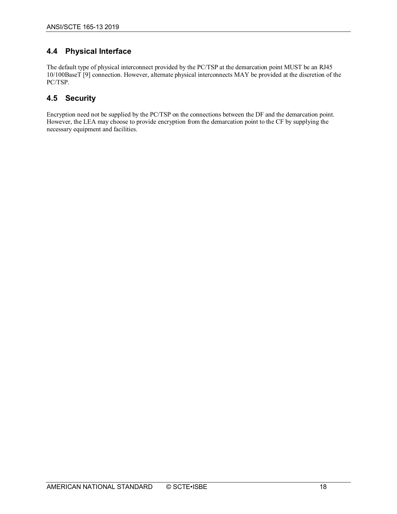# <span id="page-17-0"></span>**4.4 Physical Interface**

The default type of physical interconnect provided by the PC/TSP at the demarcation point MUST be an RJ45 10/100BaseT [\[9\]](#page-12-10) connection. However, alternate physical interconnects MAY be provided at the discretion of the PC/TSP.

# <span id="page-17-1"></span>**4.5 Security**

Encryption need not be supplied by the PC/TSP on the connections between the DF and the demarcation point. However, the LEA may choose to provide encryption from the demarcation point to the CF by supplying the necessary equipment and facilities.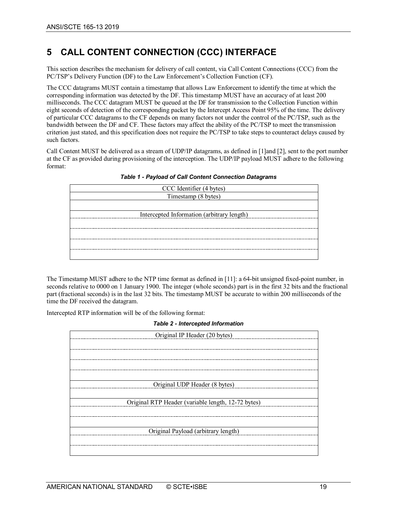# <span id="page-18-0"></span>**5 CALL CONTENT CONNECTION (CCC) INTERFACE**

This section describes the mechanism for delivery of call content, via Call Content Connections (CCC) from the PC/TSP's Delivery Function (DF) to the Law Enforcement's Collection Function (CF).

The CCC datagrams MUST contain a timestamp that allows Law Enforcement to identify the time at which the corresponding information was detected by the DF. This timestamp MUST have an accuracy of at least 200 milliseconds. The CCC datagram MUST be queued at the DF for transmission to the Collection Function within eight seconds of detection of the corresponding packet by the Intercept Access Point 95% of the time. The delivery of particular CCC datagrams to the CF depends on many factors not under the control of the PC/TSP, such as the bandwidth between the DF and CF. These factors may affect the ability of the PC/TSP to meet the transmission criterion just stated, and this specification does not require the PC/TSP to take steps to counteract delays caused by such factors.

<span id="page-18-1"></span>Call Content MUST be delivered as a stream of UDP/IP datagrams, as defined in [\[1\]a](#page-12-11)n[d \[2\],](#page-12-7) sent to the port number at the CF as provided during provisioning of the interception. The UDP/IP payload MUST adhere to the following format:

| CCC Identifier (4 bytes)<br>Timestamp (8 bytes) |
|-------------------------------------------------|
|                                                 |
|                                                 |
| Intercepted Information (arbitrary length)      |
|                                                 |
|                                                 |
|                                                 |
|                                                 |
|                                                 |
|                                                 |

*Table 1 - Payload of Call Content Connection Datagrams*

The Timestamp MUST adhere to the NTP time format as defined in [\[11\]:](#page-12-12) a 64-bit unsigned fixed-point number, in seconds relative to 0000 on 1 January 1900. The integer (whole seconds) part is in the first 32 bits and the fractional part (fractional seconds) is in the last 32 bits. The timestamp MUST be accurate to within 200 milliseconds of the time the DF received the datagram.

<span id="page-18-2"></span>Intercepted RTP information will be of the following format:

*Table 2 - Intercepted Information*

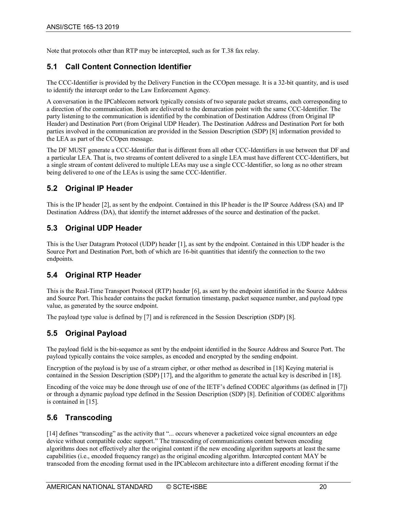Note that protocols other than RTP may be intercepted, such as for T.38 fax relay.

# <span id="page-19-0"></span>**5.1 Call Content Connection Identifier**

The CCC-Identifier is provided by the Delivery Function in the CCOpen message. It is a 32-bit quantity, and is used to identify the intercept order to the Law Enforcement Agency.

A conversation in the IPCablecom network typically consists of two separate packet streams, each corresponding to a direction of the communication. Both are delivered to the demarcation point with the same CCC-Identifier. The party listening to the communication is identified by the combination of Destination Address (from Original IP Header) and Destination Port (from Original UDP Header). The Destination Address and Destination Port for both parties involved in the communication are provided in the Session Description (SDP) [\[8\]](#page-12-13) information provided to the LEA as part of the CCOpen message.

The DF MUST generate a CCC-Identifier that is different from all other CCC-Identifiers in use between that DF and a particular LEA. That is, two streams of content delivered to a single LEA must have different CCC-Identifiers, but a single stream of content delivered to multiple LEAs may use a single CCC-Identifier, so long as no other stream being delivered to one of the LEAs is using the same CCC-Identifier.

# <span id="page-19-1"></span>**5.2 Original IP Header**

This is the IP heade[r \[2\],](#page-12-7) as sent by the endpoint. Contained in this IP header is the IP Source Address (SA) and IP Destination Address (DA), that identify the internet addresses of the source and destination of the packet.

# <span id="page-19-2"></span>**5.3 Original UDP Header**

This is the User Datagram Protocol (UDP) header [\[1\],](#page-12-11) as sent by the endpoint. Contained in this UDP header is the Source Port and Destination Port, both of which are 16-bit quantities that identify the connection to the two endpoints.

# <span id="page-19-3"></span>**5.4 Original RTP Header**

This is the Real-Time Transport Protocol (RTP) header [\[6\],](#page-12-14) as sent by the endpoint identified in the Source Address and Source Port. This header contains the packet formation timestamp, packet sequence number, and payload type value, as generated by the source endpoint.

The payload type value is defined by [\[7\]](#page-12-15) and is referenced in the Session Description (SDP) [\[8\].](#page-12-13)

# <span id="page-19-4"></span>**5.5 Original Payload**

The payload field is the bit-sequence as sent by the endpoint identified in the Source Address and Source Port. The payload typically contains the voice samples, as encoded and encrypted by the sending endpoint.

Encryption of the payload is by use of a stream cipher, or other method as described in [\[18\]](#page-12-16) Keying material is contained in the Session Description (SDP) [\[17\],](#page-12-17) and the algorithm to generate the actual key is described i[n \[18\].](#page-12-16)

Encoding of the voice may be done through use of one of the IETF's defined CODEC algorithms (as defined in [\[7\]\)](#page-12-15) or through a dynamic payload type defined in the Session Description (SDP) [\[8\].](#page-12-13) Definition of CODEC algorithms is contained in [\[15\].](#page-12-18)

# <span id="page-19-5"></span>**5.6 Transcoding**

[\[14\]](#page-12-5) defines "transcoding" as the activity that "... occurs whenever a packetized voice signal encounters an edge device without compatible codec support." The transcoding of communications content between encoding algorithms does not effectively alter the original content if the new encoding algorithm supports at least the same capabilities (i.e., encoded frequency range) as the original encoding algorithm. Intercepted content MAY be transcoded from the encoding format used in the IPCablecom architecture into a different encoding format if the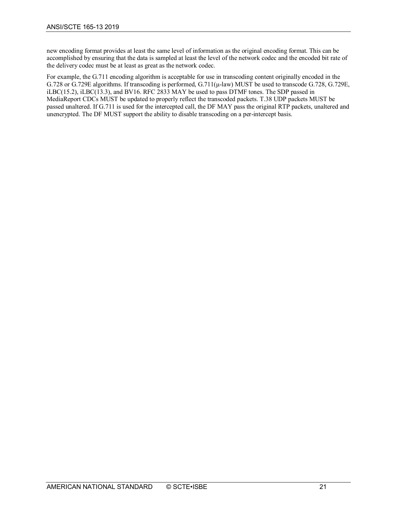new encoding format provides at least the same level of information as the original encoding format. This can be accomplished by ensuring that the data is sampled at least the level of the network codec and the encoded bit rate of the delivery codec must be at least as great as the network codec.

For example, the G.711 encoding algorithm is acceptable for use in transcoding content originally encoded in the G.728 or G.729E algorithms. If transcoding is performed, G.711(μ-law) MUST be used to transcode G.728, G.729E, iLBC(15.2), iLBC(13.3), and BV16. RFC 2833 MAY be used to pass DTMF tones. The SDP passed in MediaReport CDCs MUST be updated to properly reflect the transcoded packets. T.38 UDP packets MUST be passed unaltered. If G.711 is used for the intercepted call, the DF MAY pass the original RTP packets, unaltered and unencrypted. The DF MUST support the ability to disable transcoding on a per-intercept basis.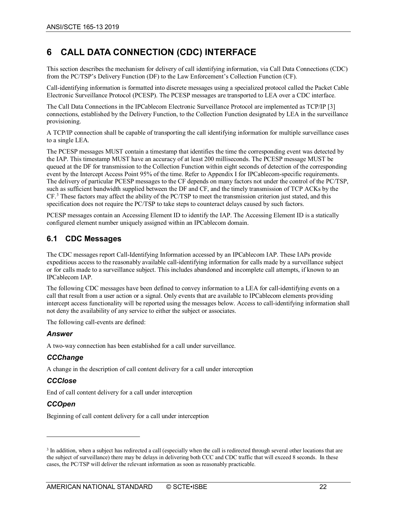# <span id="page-21-0"></span>**6 CALL DATA CONNECTION (CDC) INTERFACE**

This section describes the mechanism for delivery of call identifying information, via Call Data Connections (CDC) from the PC/TSP's Delivery Function (DF) to the Law Enforcement's Collection Function (CF).

Call-identifying information is formatted into discrete messages using a specialized protocol called the Packet Cable Electronic Surveillance Protocol (PCESP). The PCESP messages are transported to LEA over a CDC interface.

The Call Data Connections in the IPCablecom Electronic Surveillance Protocol are implemented as TCP/IP [\[3\]](#page-12-19) connections, established by the Delivery Function, to the Collection Function designated by LEA in the surveillance provisioning.

A TCP/IP connection shall be capable of transporting the call identifying information for multiple surveillance cases to a single LEA.

The PCESP messages MUST contain a timestamp that identifies the time the corresponding event was detected by the IAP. This timestamp MUST have an accuracy of at least 200 milliseconds. The PCESP message MUST be queued at the DF for transmission to the Collection Function within eight seconds of detection of the corresponding event by the Intercept Access Point 95% of the time. Refer to [Appendix I](#page-45-0) for IPCablecom-specific requirements. The delivery of particular PCESP messages to the CF depends on many factors not under the control of the PC/TSP, such as sufficient bandwidth supplied between the DF and CF, and the timely transmission of TCP ACKs by the CF.[3](#page-21-2) These factors may affect the ability of the PC/TSP to meet the transmission criterion just stated, and this specification does not require the PC/TSP to take steps to counteract delays caused by such factors.

PCESP messages contain an Accessing Element ID to identify the IAP. The Accessing Element ID is a statically configured element number uniquely assigned within an IPCablecom domain.

# <span id="page-21-1"></span>**6.1 CDC Messages**

The CDC messages report Call-Identifying Information accessed by an IPCablecom IAP. These IAPs provide expeditious access to the reasonably available call-identifying information for calls made by a surveillance subject or for calls made to a surveillance subject. This includes abandoned and incomplete call attempts, if known to an IPCablecom IAP.

The following CDC messages have been defined to convey information to a LEA for call-identifying events on a call that result from a user action or a signal. Only events that are available to IPCablecom elements providing intercept access functionality will be reported using the messages below. Access to call-identifying information shall not deny the availability of any service to either the subject or associates.

The following call-events are defined:

#### *Answer*

A two-way connection has been established for a call under surveillance.

#### *CCChange*

A change in the description of call content delivery for a call under interception

#### *CCClose*

End of call content delivery for a call under interception

#### *CCOpen*

 $\overline{a}$ 

Beginning of call content delivery for a call under interception

<span id="page-21-2"></span><sup>&</sup>lt;sup>3</sup> In addition, when a subject has redirected a call (especially when the call is redirected through several other locations that are the subject of surveillance) there may be delays in delivering both CCC and CDC traffic that will exceed 8 seconds. In these cases, the PC/TSP will deliver the relevant information as soon as reasonably practicable.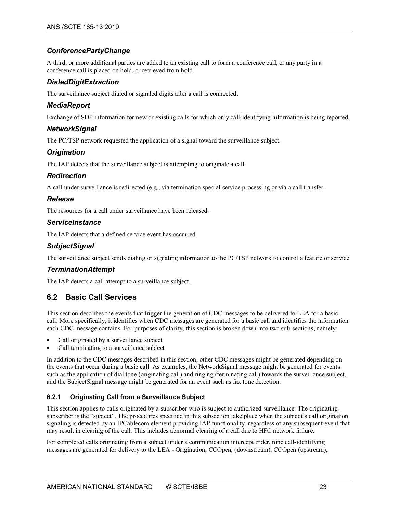#### *ConferencePartyChange*

A third, or more additional parties are added to an existing call to form a conference call, or any party in a conference call is placed on hold, or retrieved from hold.

#### *DialedDigitExtraction*

The surveillance subject dialed or signaled digits after a call is connected.

#### *MediaReport*

Exchange of SDP information for new or existing calls for which only call-identifying information is being reported.

#### *NetworkSignal*

The PC/TSP network requested the application of a signal toward the surveillance subject.

#### *Origination*

The IAP detects that the surveillance subject is attempting to originate a call.

#### *Redirection*

A call under surveillance is redirected (e.g., via termination special service processing or via a call transfer

#### *Release*

The resources for a call under surveillance have been released.

#### *ServiceInstance*

The IAP detects that a defined service event has occurred.

#### *SubjectSignal*

The surveillance subject sends dialing or signaling information to the PC/TSP network to control a feature or service

#### *TerminationAttempt*

The IAP detects a call attempt to a surveillance subject.

#### <span id="page-22-0"></span>**6.2 Basic Call Services**

This section describes the events that trigger the generation of CDC messages to be delivered to LEA for a basic call. More specifically, it identifies when CDC messages are generated for a basic call and identifies the information each CDC message contains. For purposes of clarity, this section is broken down into two sub-sections, namely:

- Call originated by a surveillance subject
- Call terminating to a surveillance subject

In addition to the CDC messages described in this section, other CDC messages might be generated depending on the events that occur during a basic call. As examples, the NetworkSignal message might be generated for events such as the application of dial tone (originating call) and ringing (terminating call) towards the surveillance subject, and the SubjectSignal message might be generated for an event such as fax tone detection.

#### <span id="page-22-1"></span>**6.2.1 Originating Call from a Surveillance Subject**

This section applies to calls originated by a subscriber who is subject to authorized surveillance. The originating subscriber is the "subject". The procedures specified in this subsection take place when the subject's call origination signaling is detected by an IPCablecom element providing IAP functionality, regardless of any subsequent event that may result in clearing of the call. This includes abnormal clearing of a call due to HFC network failure.

For completed calls originating from a subject under a communication intercept order, nine call-identifying messages are generated for delivery to the LEA - Origination, CCOpen, (downstream), CCOpen (upstream),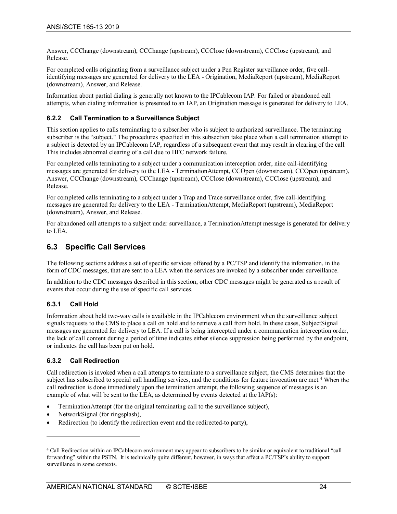Answer, CCChange (downstream), CCChange (upstream), CCClose (downstream), CCClose (upstream), and Release.

For completed calls originating from a surveillance subject under a Pen Register surveillance order, five callidentifying messages are generated for delivery to the LEA - Origination, MediaReport (upstream), MediaReport (downstream), Answer, and Release.

Information about partial dialing is generally not known to the IPCablecom IAP. For failed or abandoned call attempts, when dialing information is presented to an IAP, an Origination message is generated for delivery to LEA.

#### <span id="page-23-0"></span>**6.2.2 Call Termination to a Surveillance Subject**

This section applies to calls terminating to a subscriber who is subject to authorized surveillance. The terminating subscriber is the "subject." The procedures specified in this subsection take place when a call termination attempt to a subject is detected by an IPCablecom IAP, regardless of a subsequent event that may result in clearing of the call. This includes abnormal clearing of a call due to HFC network failure.

For completed calls terminating to a subject under a communication interception order, nine call-identifying messages are generated for delivery to the LEA - TerminationAttempt, CCOpen (downstream), CCOpen (upstream), Answer, CCChange (downstream), CCChange (upstream), CCClose (downstream), CCClose (upstream), and Release.

For completed calls terminating to a subject under a Trap and Trace surveillance order, five call-identifying messages are generated for delivery to the LEA - TerminationAttempt, MediaReport (upstream), MediaReport (downstream), Answer, and Release.

For abandoned call attempts to a subject under surveillance, a TerminationAttempt message is generated for delivery to LEA.

#### <span id="page-23-1"></span>**6.3 Specific Call Services**

The following sections address a set of specific services offered by a PC/TSP and identify the information, in the form of CDC messages, that are sent to a LEA when the services are invoked by a subscriber under surveillance.

In addition to the CDC messages described in this section, other CDC messages might be generated as a result of events that occur during the use of specific call services.

#### <span id="page-23-2"></span>**6.3.1 Call Hold**

Information about held two-way calls is available in the IPCablecom environment when the surveillance subject signals requests to the CMS to place a call on hold and to retrieve a call from hold. In these cases, SubjectSignal messages are generated for delivery to LEA. If a call is being intercepted under a communication interception order, the lack of call content during a period of time indicates either silence suppression being performed by the endpoint, or indicates the call has been put on hold.

#### <span id="page-23-3"></span>**6.3.2 Call Redirection**

 $\overline{a}$ 

Call redirection is invoked when a call attempts to terminate to a surveillance subject, the CMS determines that the subject has subscribed to special call handling services, and the conditions for feature invocation are met.<sup>[4](#page-23-4)</sup> When the call redirection is done immediately upon the termination attempt, the following sequence of messages is an example of what will be sent to the LEA, as determined by events detected at the IAP(s):

- TerminationAttempt (for the original terminating call to the surveillance subject),
- NetworkSignal (for ringsplash),
- Redirection (to identify the redirection event and the redirected-to party),

<span id="page-23-4"></span><sup>4</sup> Call Redirection within an IPCablecom environment may appear to subscribers to be similar or equivalent to traditional "call forwarding" within the PSTN. It is technically quite different, however, in ways that affect a PC/TSP's ability to support surveillance in some contexts.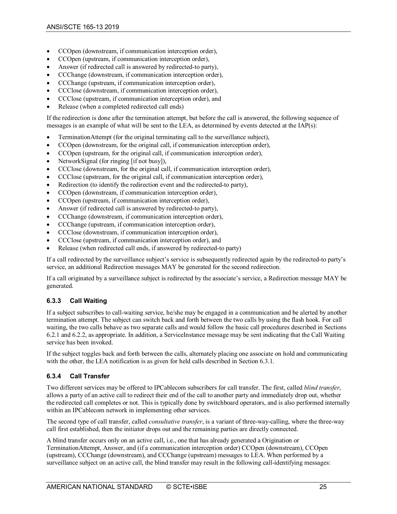- CCOpen (downstream, if communication interception order),
- CCOpen (upstream, if communication interception order),
- Answer (if redirected call is answered by redirected-to party),
- CCChange (downstream, if communication interception order),
- CCChange (upstream, if communication interception order),
- CCClose (downstream, if communication interception order),
- CCClose (upstream, if communication interception order), and
- Release (when a completed redirected call ends)

If the redirection is done after the termination attempt, but before the call is answered, the following sequence of messages is an example of what will be sent to the LEA, as determined by events detected at the IAP(s):

- TerminationAttempt (for the original terminating call to the surveillance subject),
- CCOpen (downstream, for the original call, if communication interception order),
- CCOpen (upstream, for the original call, if communication interception order),
- NetworkSignal (for ringing [if not busy]),
- CCClose (downstream, for the original call, if communication interception order),
- CCClose (upstream, for the original call, if communication interception order),
- Redirection (to identify the redirection event and the redirected-to party),
- CCOpen (downstream, if communication interception order),
- CCOpen (upstream, if communication interception order),
- Answer (if redirected call is answered by redirected-to party),
- CCChange (downstream, if communication interception order),
- CCChange (upstream, if communication interception order),
- CCClose (downstream, if communication interception order),
- CCClose (upstream, if communication interception order), and
- Release (when redirected call ends, if answered by redirected-to party)

If a call redirected by the surveillance subject's service is subsequently redirected again by the redirected-to party's service, an additional Redirection messages MAY be generated for the second redirection.

If a call originated by a surveillance subject is redirected by the associate's service, a Redirection message MAY be generated.

#### <span id="page-24-0"></span>**6.3.3 Call Waiting**

If a subject subscribes to call-waiting service, he/she may be engaged in a communication and be alerted by another termination attempt. The subject can switch back and forth between the two calls by using the flash hook. For call waiting, the two calls behave as two separate calls and would follow the basic call procedures described in Sections [6.2.1](#page-22-1) an[d 6.2.2,](#page-23-0) as appropriate. In addition, a ServiceInstance message may be sent indicating that the Call Waiting service has been invoked.

If the subject toggles back and forth between the calls, alternately placing one associate on hold and communicating with the other, the LEA notification is as given for held calls described in Section [6.3.1.](#page-23-2)

#### <span id="page-24-1"></span>**6.3.4 Call Transfer**

Two different services may be offered to IPCablecom subscribers for call transfer. The first, called *blind transfer*, allows a party of an active call to redirect their end of the call to another party and immediately drop out, whether the redirected call completes or not. This is typically done by switchboard operators, and is also performed internally within an IPCablecom network in implementing other services.

The second type of call transfer, called *consultative transfer*, is a variant of three-way-calling, where the three-way call first established, then the initiator drops out and the remaining parties are directly connected.

A blind transfer occurs only on an active call, i.e., one that has already generated a Origination or TerminationAttempt, Answer, and (if a communication interception order) CCOpen (downstream), CCOpen (upstream), CCChange (downstream), and CCChange (upstream) messages to LEA. When performed by a surveillance subject on an active call, the blind transfer may result in the following call-identifying messages: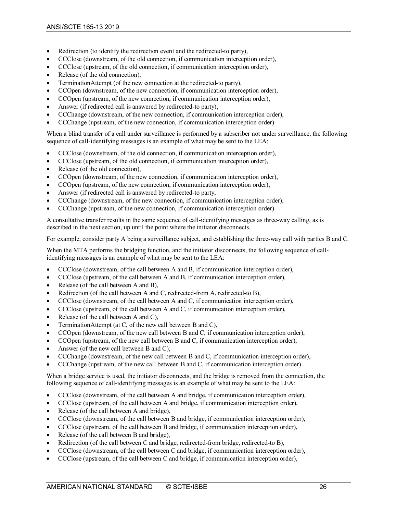- Redirection (to identify the redirection event and the redirected-to party),
- CCClose (downstream, of the old connection, if communication interception order),
- CCClose (upstream, of the old connection, if communication interception order),
- Release (of the old connection),
- TerminationAttempt (of the new connection at the redirected-to party),
- CCOpen (downstream, of the new connection, if communication interception order),
- CCOpen (upstream, of the new connection, if communication interception order),
- Answer (if redirected call is answered by redirected-to party),
- CCChange (downstream, of the new connection, if communication interception order),
- CCChange (upstream, of the new connection, if communication interception order)

When a blind transfer of a call under surveillance is performed by a subscriber not under surveillance, the following sequence of call-identifying messages is an example of what may be sent to the LEA:

- CCClose (downstream, of the old connection, if communication interception order),
- CCClose (upstream, of the old connection, if communication interception order),
- Release (of the old connection),
- CCOpen (downstream, of the new connection, if communication interception order),
- CCOpen (upstream, of the new connection, if communication interception order),
- Answer (if redirected call is answered by redirected-to party,
- CCChange (downstream, of the new connection, if communication interception order),
- CCChange (upstream, of the new connection, if communication interception order)

A consultative transfer results in the same sequence of call-identifying messages as three-way calling, as is described in the next section, up until the point where the initiator disconnects.

For example, consider party A being a surveillance subject, and establishing the three-way call with parties B and C.

When the MTA performs the bridging function, and the initiator disconnects, the following sequence of callidentifying messages is an example of what may be sent to the LEA:

- CCClose (downstream, of the call between A and B, if communication interception order),
- CCClose (upstream, of the call between A and B, if communication interception order),
- Release (of the call between A and B),
- Redirection (of the call between A and C, redirected-from A, redirected-to B),
- CCClose (downstream, of the call between A and C, if communication interception order),
- CCClose (upstream, of the call between A and C, if communication interception order),
- Release (of the call between A and C),
- TerminationAttempt (at C, of the new call between B and C),
- CCOpen (downstream, of the new call between B and C, if communication interception order),
- CCOpen (upstream, of the new call between B and C, if communication interception order),
- Answer (of the new call between B and C),
- CCChange (downstream, of the new call between B and C, if communication interception order),
- CCChange (upstream, of the new call between B and C, if communication interception order)

When a bridge service is used, the initiator disconnects, and the bridge is removed from the connection, the following sequence of call-identifying messages is an example of what may be sent to the LEA:

- CCClose (downstream, of the call between A and bridge, if communication interception order),
- CCClose (upstream, of the call between A and bridge, if communication interception order),
- Release (of the call between A and bridge),
- CCClose (downstream, of the call between B and bridge, if communication interception order),
- CCClose (upstream, of the call between B and bridge, if communication interception order),
- Release (of the call between B and bridge),
- Redirection (of the call between C and bridge, redirected-from bridge, redirected-to B),
- CCClose (downstream, of the call between C and bridge, if communication interception order),
- CCClose (upstream, of the call between C and bridge, if communication interception order),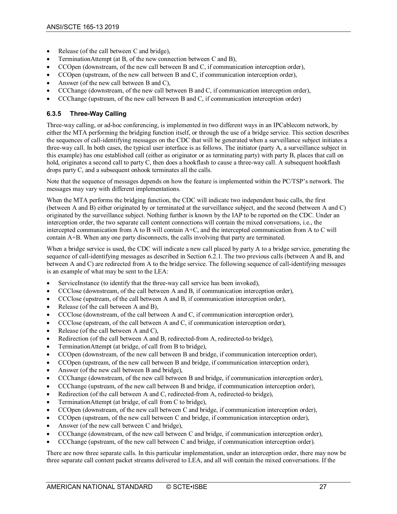- Release (of the call between C and bridge),
- TerminationAttempt (at B, of the new connection between C and B),
- CCOpen (downstream, of the new call between B and C, if communication interception order),
- CCOpen (upstream, of the new call between B and C, if communication interception order),
- Answer (of the new call between B and C),
- CCChange (downstream, of the new call between B and C, if communication interception order),
- <span id="page-26-0"></span>• CCChange (upstream, of the new call between B and C, if communication interception order)

#### **6.3.5 Three-Way Calling**

Three-way calling, or ad-hoc conferencing, is implemented in two different ways in an IPCablecom network, by either the MTA performing the bridging function itself, or through the use of a bridge service. This section describes the sequences of call-identifying messages on the CDC that will be generated when a surveillance subject initiates a three-way call. In both cases, the typical user interface is as follows. The initiator (party A, a surveillance subject in this example) has one established call (either as originator or as terminating party) with party B, places that call on hold, originates a second call to party C, then does a hookflash to cause a three-way call. A subsequent hookflash drops party C, and a subsequent onhook terminates all the calls.

Note that the sequence of messages depends on how the feature is implemented within the PC/TSP's network. The messages may vary with different implementations.

When the MTA performs the bridging function, the CDC will indicate two independent basic calls, the first (between A and B) either originated by or terminated at the surveillance subject, and the second (between A and C) originated by the surveillance subject. Nothing further is known by the IAP to be reported on the CDC. Under an interception order, the two separate call content connections will contain the mixed conversations, i.e., the intercepted communication from A to B will contain A+C, and the intercepted communication from A to C will contain A+B. When any one party disconnects, the calls involving that party are terminated.

When a bridge service is used, the CDC will indicate a new call placed by party A to a bridge service, generating the sequence of call-identifying messages as described in Section [6.2.1.](#page-22-1) The two previous calls (between A and B, and between A and C) are redirected from A to the bridge service. The following sequence of call-identifying messages is an example of what may be sent to the LEA:

- ServiceInstance (to identify that the three-way call service has been invoked),
- CCClose (downstream, of the call between A and B, if communication interception order),
- CCClose (upstream, of the call between A and B, if communication interception order),
- Release (of the call between A and B),
- CCClose (downstream, of the call between A and C, if communication interception order),
- CCClose (upstream, of the call between A and C, if communication interception order),
- Release (of the call between A and C).
- Redirection (of the call between A and B, redirected-from A, redirected-to bridge),
- TerminationAttempt (at bridge, of call from B to bridge),
- CCOpen (downstream, of the new call between B and bridge, if communication interception order),
- CCOpen (upstream, of the new call between B and bridge, if communication interception order),
- Answer (of the new call between B and bridge),
- CCChange (downstream, of the new call between B and bridge, if communication interception order),
- CCChange (upstream, of the new call between B and bridge, if communication interception order),
- Redirection (of the call between A and C, redirected-from A, redirected-to bridge),
- TerminationAttempt (at bridge, of call from C to bridge),
- CCOpen (downstream, of the new call between C and bridge, if communication interception order),
- CCOpen (upstream, of the new call between C and bridge, if communication interception order),
- Answer (of the new call between C and bridge),
- CCChange (downstream, of the new call between C and bridge, if communication interception order),
- CCChange (upstream, of the new call between C and bridge, if communication interception order).

There are now three separate calls. In this particular implementation, under an interception order, there may now be three separate call content packet streams delivered to LEA, and all will contain the mixed conversations. If the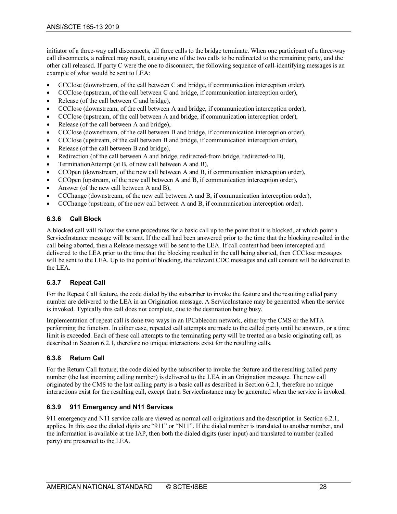initiator of a three-way call disconnects, all three calls to the bridge terminate. When one participant of a three-way call disconnects, a redirect may result, causing one of the two calls to be redirected to the remaining party, and the other call released. If party C were the one to disconnect, the following sequence of call-identifying messages is an example of what would be sent to LEA:

- CCClose (downstream, of the call between C and bridge, if communication interception order),
- CCClose (upstream, of the call between C and bridge, if communication interception order),
- Release (of the call between C and bridge),
- CCClose (downstream, of the call between A and bridge, if communication interception order),
- CCClose (upstream, of the call between A and bridge, if communication interception order),
- Release (of the call between A and bridge),
- CCClose (downstream, of the call between B and bridge, if communication interception order),
- CCClose (upstream, of the call between B and bridge, if communication interception order),
- Release (of the call between B and bridge),
- Redirection (of the call between A and bridge, redirected-from bridge, redirected-to B),
- TerminationAttempt (at B, of new call between A and B),
- CCOpen (downstream, of the new call between A and B, if communication interception order),
- CCOpen (upstream, of the new call between A and B, if communication interception order),
- Answer (of the new call between A and B),
- CCChange (downstream, of the new call between A and B, if communication interception order),
- <span id="page-27-0"></span>• CCChange (upstream, of the new call between A and B, if communication interception order).

#### **6.3.6 Call Block**

A blocked call will follow the same procedures for a basic call up to the point that it is blocked, at which point a ServiceInstance message will be sent. If the call had been answered prior to the time that the blocking resulted in the call being aborted, then a Release message will be sent to the LEA. If call content had been intercepted and delivered to the LEA prior to the time that the blocking resulted in the call being aborted, then CCClose messages will be sent to the LEA. Up to the point of blocking, the relevant CDC messages and call content will be delivered to the LEA.

#### <span id="page-27-1"></span>**6.3.7 Repeat Call**

For the Repeat Call feature, the code dialed by the subscriber to invoke the feature and the resulting called party number are delivered to the LEA in an Origination message. A ServiceInstance may be generated when the service is invoked. Typically this call does not complete, due to the destination being busy.

Implementation of repeat call is done two ways in an IPCablecom network, either by the CMS or the MTA performing the function. In either case, repeated call attempts are made to the called party until he answers, or a time limit is exceeded. Each of these call attempts to the terminating party will be treated as a basic originating call, as described in Section [6.2.1,](#page-22-1) therefore no unique interactions exist for the resulting calls.

#### <span id="page-27-2"></span>**6.3.8 Return Call**

For the Return Call feature, the code dialed by the subscriber to invoke the feature and the resulting called party number (the last incoming calling number) is delivered to the LEA in an Origination message. The new call originated by the CMS to the last calling party is a basic call as described in Section [6.2.1,](#page-22-1) therefore no unique interactions exist for the resulting call, except that a ServiceInstance may be generated when the service is invoked.

#### <span id="page-27-3"></span>**6.3.9 911 Emergency and N11 Services**

911 emergency and N11 service calls are viewed as normal call originations and the description in Section [6.2.1,](#page-22-1)  applies. In this case the dialed digits are "911" or "N11". If the dialed number is translated to another number, and the information is available at the IAP, then both the dialed digits (user input) and translated to number (called party) are presented to the LEA.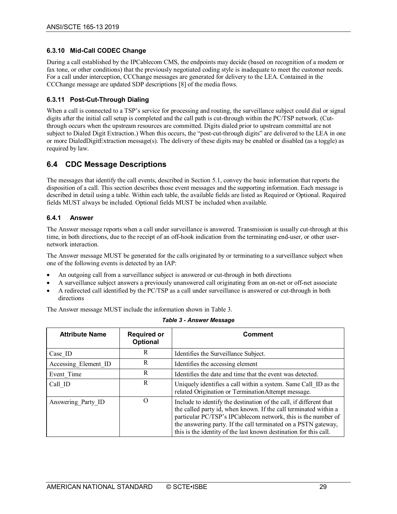#### <span id="page-28-0"></span>**6.3.10 Mid-Call CODEC Change**

During a call established by the IPCablecom CMS, the endpoints may decide (based on recognition of a modem or fax tone, or other conditions) that the previously negotiated coding style is inadequate to meet the customer needs. For a call under interception, CCChange messages are generated for delivery to the LEA. Contained in the CCChange message are updated SDP descriptions [\[8\]](#page-12-13) of the media flows.

#### <span id="page-28-1"></span>**6.3.11 Post-Cut-Through Dialing**

When a call is connected to a TSP's service for processing and routing, the surveillance subject could dial or signal digits after the initial call setup is completed and the call path is cut-through within the PC/TSP network. (Cutthrough occurs when the upstream resources are committed. Digits dialed prior to upstream committal are not subject to Dialed Digit Extraction.) When this occurs, the "post-cut-through digits" are delivered to the LEA in one or more DialedDigitExtraction message(s). The delivery of these digits may be enabled or disabled (as a toggle) as required by law.

# <span id="page-28-2"></span>**6.4 CDC Message Descriptions**

The messages that identify the call events, described in Section [5.1,](#page-19-0) convey the basic information that reports the disposition of a call. This section describes those event messages and the supporting information. Each message is described in detail using a table. Within each table, the available fields are listed as Required or Optional. Required fields MUST always be included. Optional fields MUST be included when available.

#### <span id="page-28-3"></span>**6.4.1 Answer**

The Answer message reports when a call under surveillance is answered. Transmission is usually cut-through at this time, in both directions, due to the receipt of an off-hook indication from the terminating end-user, or other usernetwork interaction.

The Answer message MUST be generated for the calls originated by or terminating to a surveillance subject when one of the following events is detected by an IAP:

- An outgoing call from a surveillance subject is answered or cut-through in both directions
- A surveillance subject answers a previously unanswered call originating from an on-net or off-net associate
- A redirected call identified by the PC/TSP as a call under surveillance is answered or cut-through in both directions

The Answer message MUST include the information shown i[n Table 3.](#page-28-4)

<span id="page-28-4"></span>

| <b>Attribute Name</b> | <b>Required or</b><br><b>Optional</b> | <b>Comment</b>                                                                                                                                                                                                                                                                                                                                 |
|-----------------------|---------------------------------------|------------------------------------------------------------------------------------------------------------------------------------------------------------------------------------------------------------------------------------------------------------------------------------------------------------------------------------------------|
| Case ID               | R                                     | Identifies the Surveillance Subject.                                                                                                                                                                                                                                                                                                           |
| Accessing Element ID  | R                                     | Identifies the accessing element                                                                                                                                                                                                                                                                                                               |
| Event Time            | R                                     | Identifies the date and time that the event was detected.                                                                                                                                                                                                                                                                                      |
| Call ID               | R                                     | Uniquely identifies a call within a system. Same Call ID as the<br>related Origination or TerminationAttempt message.                                                                                                                                                                                                                          |
| Answering Party ID    | O                                     | Include to identify the destination of the call, if different that<br>the called party id, when known. If the call terminated within a<br>particular PC/TSP's IPCablecom network, this is the number of<br>the answering party. If the call terminated on a PSTN gateway,<br>this is the identity of the last known destination for this call. |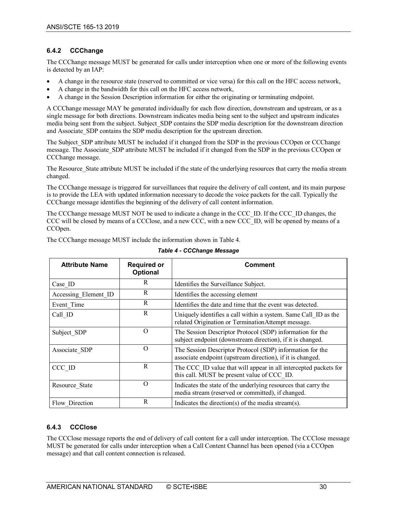#### <span id="page-29-0"></span>**6.4.2 CCChange**

The CCChange message MUST be generated for calls under interception when one or more of the following events is detected by an IAP:

- A change in the resource state (reserved to committed or vice versa) for this call on the HFC access network,
- A change in the bandwidth for this call on the HFC access network,
- A change in the Session Description information for either the originating or terminating endpoint.

A CCChange message MAY be generated individually for each flow direction, downstream and upstream, or as a single message for both directions. Downstream indicates media being sent to the subject and upstream indicates media being sent from the subject. Subject SDP contains the SDP media description for the downstream direction and Associate SDP contains the SDP media description for the upstream direction.

The Subject\_SDP attribute MUST be included if it changed from the SDP in the previous CCOpen or CCChange message. The Associate SDP attribute MUST be included if it changed from the SDP in the previous CCOpen or CCChange message.

The Resource State attribute MUST be included if the state of the underlying resources that carry the media stream changed.

The CCChange message is triggered for surveillances that require the delivery of call content, and its main purpose is to provide the LEA with updated information necessary to decode the voice packets for the call. Typically the CCChange message identifies the beginning of the delivery of call content information.

The CCChange message MUST NOT be used to indicate a change in the CCC\_ID. If the CCC\_ID changes, the CCC will be closed by means of a CCClose, and a new CCC, with a new CCC\_ID, will be opened by means of a CCOpen.

<span id="page-29-2"></span>The CCChange message MUST include the information shown in [Table 4.](#page-29-2)

| <b>Attribute Name</b> | <b>Required or</b><br>Optional | <b>Comment</b>                                                                                                          |
|-----------------------|--------------------------------|-------------------------------------------------------------------------------------------------------------------------|
| Case ID               | R                              | Identifies the Surveillance Subject.                                                                                    |
| Accessing Element ID  | R                              | Identifies the accessing element                                                                                        |
| Event Time            | R                              | Identifies the date and time that the event was detected.                                                               |
| Call ID               | R                              | Uniquely identifies a call within a system. Same Call ID as the<br>related Origination or TerminationAttempt message.   |
| Subject SDP           | $\Omega$                       | The Session Descriptor Protocol (SDP) information for the<br>subject endpoint (downstream direction), if it is changed. |
| Associate SDP         | $\Omega$                       | The Session Descriptor Protocol (SDP) information for the<br>associate endpoint (upstream direction), if it is changed. |
| CCC ID                | R                              | The CCC ID value that will appear in all intercepted packets for<br>this call. MUST be present value of CCC ID.         |
| Resource State        | $\Omega$                       | Indicates the state of the underlying resources that carry the<br>media stream (reserved or committed), if changed.     |
| Flow Direction        | R                              | Indicates the direction(s) of the media stream(s).                                                                      |

#### *Table 4 - CCChange Message*

#### <span id="page-29-1"></span>**6.4.3 CCClose**

The CCClose message reports the end of delivery of call content for a call under interception. The CCClose message MUST be generated for calls under interception when a Call Content Channel has been opened (via a CCOpen message) and that call content connection is released.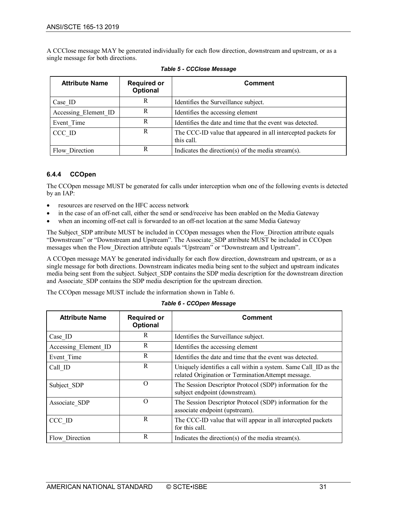A CCClose message MAY be generated individually for each flow direction, downstream and upstream, or as a single message for both directions.

<span id="page-30-1"></span>

| <b>Attribute Name</b> | <b>Required or</b><br>Optional | <b>Comment</b>                                                              |
|-----------------------|--------------------------------|-----------------------------------------------------------------------------|
| Case ID               | R                              | Identifies the Surveillance subject.                                        |
| Accessing Element ID  | R                              | Identifies the accessing element                                            |
| Event Time            | R                              | Identifies the date and time that the event was detected.                   |
| CCC ID                | R                              | The CCC-ID value that appeared in all intercepted packets for<br>this call. |
| Flow Direction        | R                              | Indicates the direction(s) of the media stream(s).                          |

#### <span id="page-30-0"></span>**6.4.4 CCOpen**

The CCOpen message MUST be generated for calls under interception when one of the following events is detected by an IAP:

- resources are reserved on the HFC access network
- in the case of an off-net call, either the send or send/receive has been enabled on the Media Gateway
- when an incoming off-net call is forwarded to an off-net location at the same Media Gateway

The Subject SDP attribute MUST be included in CCOpen messages when the Flow Direction attribute equals "Downstream" or "Downstream and Upstream". The Associate\_SDP attribute MUST be included in CCOpen messages when the Flow\_Direction attribute equals "Upstream" or "Downstream and Upstream".

A CCOpen message MAY be generated individually for each flow direction, downstream and upstream, or as a single message for both directions. Downstream indicates media being sent to the subject and upstream indicates media being sent from the subject. Subject SDP contains the SDP media description for the downstream direction and Associate SDP contains the SDP media description for the upstream direction.

<span id="page-30-2"></span>The CCOpen message MUST include the information shown in [Table 6.](#page-30-2)

| <b>Attribute Name</b> | <b>Required or</b><br><b>Optional</b> | <b>Comment</b>                                                                                                        |
|-----------------------|---------------------------------------|-----------------------------------------------------------------------------------------------------------------------|
| Case ID               | R                                     | Identifies the Surveillance subject.                                                                                  |
| Accessing Element ID  | R                                     | Identifies the accessing element                                                                                      |
| Event Time            | R                                     | Identifies the date and time that the event was detected.                                                             |
| Call ID               | R                                     | Uniquely identifies a call within a system. Same Call ID as the<br>related Origination or TerminationAttempt message. |
| Subject SDP           | $\Omega$                              | The Session Descriptor Protocol (SDP) information for the<br>subject endpoint (downstream).                           |
| Associate SDP         | O                                     | The Session Descriptor Protocol (SDP) information for the<br>associate endpoint (upstream).                           |
| CCC ID                | R                                     | The CCC-ID value that will appear in all intercepted packets<br>for this call.                                        |
| Flow Direction        | R                                     | Indicates the direction(s) of the media stream(s).                                                                    |

#### *Table 6 - CCOpen Message*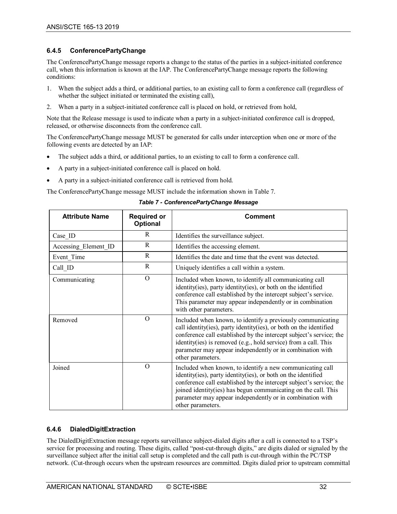#### <span id="page-31-0"></span>**6.4.5 ConferencePartyChange**

The ConferencePartyChange message reports a change to the status of the parties in a subject-initiated conference call, when this information is known at the IAP. The ConferencePartyChange message reports the following conditions:

- 1. When the subject adds a third, or additional parties, to an existing call to form a conference call (regardless of whether the subject initiated or terminated the existing call),
- 2. When a party in a subject-initiated conference call is placed on hold, or retrieved from hold,

Note that the Release message is used to indicate when a party in a subject-initiated conference call is dropped, released, or otherwise disconnects from the conference call.

The ConferencePartyChange message MUST be generated for calls under interception when one or more of the following events are detected by an IAP:

- The subject adds a third, or additional parties, to an existing to call to form a conference call.
- A party in a subject-initiated conference call is placed on hold.
- A party in a subject-initiated conference call is retrieved from hold.

<span id="page-31-2"></span>The ConferencePartyChange message MUST include the information shown in [Table 7.](#page-31-2)

| <b>Attribute Name</b> | <b>Required or</b><br>Optional | <b>Comment</b>                                                                                                                                                                                                                                                                                                                                                |
|-----------------------|--------------------------------|---------------------------------------------------------------------------------------------------------------------------------------------------------------------------------------------------------------------------------------------------------------------------------------------------------------------------------------------------------------|
| Case ID               | R                              | Identifies the surveillance subject.                                                                                                                                                                                                                                                                                                                          |
| Accessing Element ID  | R                              | Identifies the accessing element.                                                                                                                                                                                                                                                                                                                             |
| Event Time            | $\mathbb{R}$                   | Identifies the date and time that the event was detected.                                                                                                                                                                                                                                                                                                     |
| Call ID               | $\mathbf R$                    | Uniquely identifies a call within a system.                                                                                                                                                                                                                                                                                                                   |
| Communicating         | $\Omega$                       | Included when known, to identify all communicating call<br>identity(ies), party identity(ies), or both on the identified<br>conference call established by the intercept subject's service.<br>This parameter may appear independently or in combination<br>with other parameters.                                                                            |
| Removed               | $\Omega$                       | Included when known, to identify a previously communicating<br>call identity(ies), party identity(ies), or both on the identified<br>conference call established by the intercept subject's service; the<br>identity(ies) is removed (e.g., hold service) from a call. This<br>parameter may appear independently or in combination with<br>other parameters. |
| Joined                | $\Omega$                       | Included when known, to identify a new communicating call<br>identity(ies), party identity(ies), or both on the identified<br>conference call established by the intercept subject's service; the<br>joined identity(ies) has begun communicating on the call. This<br>parameter may appear independently or in combination with<br>other parameters.         |

#### *Table 7 - ConferencePartyChange Message*

#### <span id="page-31-1"></span>**6.4.6 DialedDigitExtraction**

The DialedDigitExtraction message reports surveillance subject-dialed digits after a call is connected to a TSP's service for processing and routing. These digits, called "post-cut-through digits," are digits dialed or signaled by the surveillance subject after the initial call setup is completed and the call path is cut-through within the PC/TSP network. (Cut-through occurs when the upstream resources are committed. Digits dialed prior to upstream committal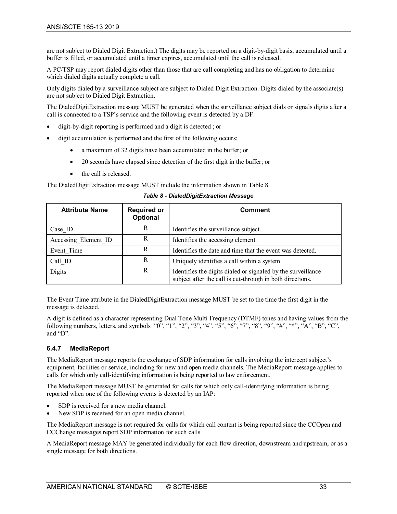are not subject to Dialed Digit Extraction.) The digits may be reported on a digit-by-digit basis, accumulated until a buffer is filled, or accumulated until a timer expires, accumulated until the call is released.

A PC/TSP may report dialed digits other than those that are call completing and has no obligation to determine which dialed digits actually complete a call.

Only digits dialed by a surveillance subject are subject to Dialed Digit Extraction. Digits dialed by the associate(s) are not subject to Dialed Digit Extraction.

The DialedDigitExtraction message MUST be generated when the surveillance subject dials or signals digits after a call is connected to a TSP's service and the following event is detected by a DF:

- digit-by-digit reporting is performed and a digit is detected ; or
- digit accumulation is performed and the first of the following occurs:
	- a maximum of 32 digits have been accumulated in the buffer; or
	- 20 seconds have elapsed since detection of the first digit in the buffer; or
	- the call is released.

<span id="page-32-1"></span>The DialedDigitExtraction message MUST include the information shown in [Table 8.](#page-32-1)

| <b>Attribute Name</b> | <b>Required or</b><br><b>Optional</b> | <b>Comment</b>                                                                                                            |
|-----------------------|---------------------------------------|---------------------------------------------------------------------------------------------------------------------------|
| Case ID               | R                                     | Identifies the surveillance subject.                                                                                      |
| Accessing Element ID  | R                                     | Identifies the accessing element.                                                                                         |
| Event Time            | R                                     | Identifies the date and time that the event was detected.                                                                 |
| Call ID               | R                                     | Uniquely identifies a call within a system.                                                                               |
| Digits                | R                                     | Identifies the digits dialed or signaled by the surveillance<br>subject after the call is cut-through in both directions. |

*Table 8 - DialedDigitExtraction Message*

The Event Time attribute in the DialedDigitExtraction message MUST be set to the time the first digit in the message is detected.

A digit is defined as a character representing Dual Tone Multi Frequency (DTMF) tones and having values from the following numbers, letters, and symbols "0", "1", "2", "3", "4", "5", "6", "7", "8", "9", "#", "\*", "A", "B", "C", and "D".

#### <span id="page-32-0"></span>**6.4.7 MediaReport**

The MediaReport message reports the exchange of SDP information for calls involving the intercept subject's equipment, facilities or service, including for new and open media channels. The MediaReport message applies to calls for which only call-identifying information is being reported to law enforcement.

The MediaReport message MUST be generated for calls for which only call-identifying information is being reported when one of the following events is detected by an IAP:

- SDP is received for a new media channel.
- New SDP is received for an open media channel.

The MediaReport message is not required for calls for which call content is being reported since the CCOpen and CCChange messages report SDP information for such calls.

A MediaReport message MAY be generated individually for each flow direction, downstream and upstream, or as a single message for both directions.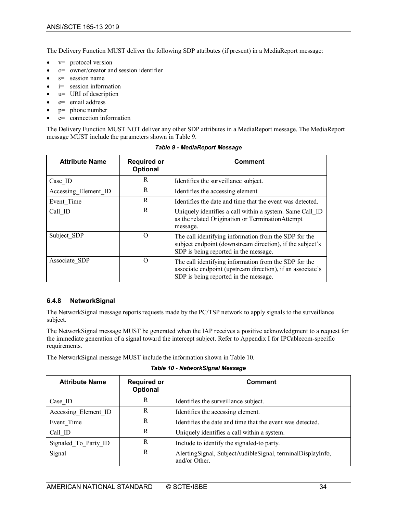The Delivery Function MUST deliver the following SDP attributes (if present) in a MediaReport message:

- v= protocol version
- o= owner/creator and session identifier
- $s=$  session name
- i= session information
- $u=$  URI of description
- e= email address
- $p=$  phone number
- c= connection information

The Delivery Function MUST NOT deliver any other SDP attributes in a MediaReport message. The MediaReport message MUST include the parameters shown i[n Table 9.](#page-33-1)

<span id="page-33-1"></span>

| <b>Attribute Name</b> | <b>Required or</b><br>Optional | <b>Comment</b>                                                                                                                                               |
|-----------------------|--------------------------------|--------------------------------------------------------------------------------------------------------------------------------------------------------------|
| Case ID               | R                              | Identifies the surveillance subject.                                                                                                                         |
| Accessing Element ID  | R                              | Identifies the accessing element                                                                                                                             |
| Event Time            | R                              | Identifies the date and time that the event was detected.                                                                                                    |
| Call ID               | R                              | Uniquely identifies a call within a system. Same Call ID<br>as the related Origination or TerminationAttempt<br>message.                                     |
| Subject SDP           | O                              | The call identifying information from the SDP for the<br>subject endpoint (downstream direction), if the subject's<br>SDP is being reported in the message.  |
| Associate SDP         | O                              | The call identifying information from the SDP for the<br>associate endpoint (upstream direction), if an associate's<br>SDP is being reported in the message. |

#### *Table 9 - MediaReport Message*

#### <span id="page-33-0"></span>**6.4.8 NetworkSignal**

The NetworkSignal message reports requests made by the PC/TSP network to apply signals to the surveillance subject.

The NetworkSignal message MUST be generated when the IAP receives a positive acknowledgment to a request for the immediate generation of a signal toward the intercept subject. Refer to [Appendix I](#page-45-0) for IPCablecom-specific requirements.

<span id="page-33-2"></span>The NetworkSignal message MUST include the information shown in [Table 10.](#page-33-2)

| <b>Attribute Name</b> | <b>Required or</b><br>Optional | <b>Comment</b>                                                              |
|-----------------------|--------------------------------|-----------------------------------------------------------------------------|
| Case ID               | R                              | Identifies the surveillance subject.                                        |
| Accessing Element ID  | R                              | Identifies the accessing element.                                           |
| Event Time            | R                              | Identifies the date and time that the event was detected.                   |
| Call ID               | R                              | Uniquely identifies a call within a system.                                 |
| Signaled To Party ID  | R                              | Include to identify the signaled-to party.                                  |
| Signal                | R                              | AlertingSignal, SubjectAudibleSignal, terminalDisplayInfo,<br>and/or Other. |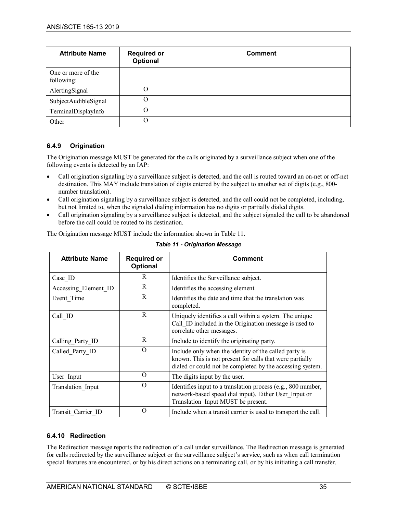| <b>Attribute Name</b>            | <b>Required or</b><br>Optional | <b>Comment</b> |
|----------------------------------|--------------------------------|----------------|
| One or more of the<br>following: |                                |                |
| AlertingSignal                   | O                              |                |
| SubjectAudibleSignal             | O                              |                |
| TerminalDisplayInfo              | O                              |                |
| Other                            | O                              |                |

#### <span id="page-34-0"></span>**6.4.9 Origination**

The Origination message MUST be generated for the calls originated by a surveillance subject when one of the following events is detected by an IAP:

- Call origination signaling by a surveillance subject is detected, and the call is routed toward an on-net or off-net destination. This MAY include translation of digits entered by the subject to another set of digits (e.g., 800 number translation).
- Call origination signaling by a surveillance subject is detected, and the call could not be completed, including, but not limited to, when the signaled dialing information has no digits or partially dialed digits.
- Call origination signaling by a surveillance subject is detected, and the subject signaled the call to be abandoned before the call could be routed to its destination.

<span id="page-34-2"></span>The Origination message MUST include the information shown i[n Table 11.](#page-34-2)

| <b>Attribute Name</b> | <b>Required or</b><br>Optional | <b>Comment</b>                                                                                                                                                                 |
|-----------------------|--------------------------------|--------------------------------------------------------------------------------------------------------------------------------------------------------------------------------|
| Case ID               | R                              | Identifies the Surveillance subject.                                                                                                                                           |
| Accessing Element ID  | R                              | Identifies the accessing element                                                                                                                                               |
| Event Time            | R                              | Identifies the date and time that the translation was<br>completed.                                                                                                            |
| Call ID               | R                              | Uniquely identifies a call within a system. The unique<br>Call ID included in the Origination message is used to<br>correlate other messages.                                  |
| Calling Party ID      | R                              | Include to identify the originating party.                                                                                                                                     |
| Called Party ID       | $\Omega$                       | Include only when the identity of the called party is<br>known. This is not present for calls that were partially<br>dialed or could not be completed by the accessing system. |
| User Input            | $\Omega$                       | The digits input by the user.                                                                                                                                                  |
| Translation_Input     | $\Omega$                       | Identifies input to a translation process (e.g., 800 number,<br>network-based speed dial input). Either User Input or<br>Translation Input MUST be present.                    |
| Transit Carrier ID    | $\Omega$                       | Include when a transit carrier is used to transport the call.                                                                                                                  |

*Table 11 - Origination Message*

#### <span id="page-34-1"></span>**6.4.10 Redirection**

The Redirection message reports the redirection of a call under surveillance. The Redirection message is generated for calls redirected by the surveillance subject or the surveillance subject's service, such as when call termination special features are encountered, or by his direct actions on a terminating call, or by his initiating a call transfer.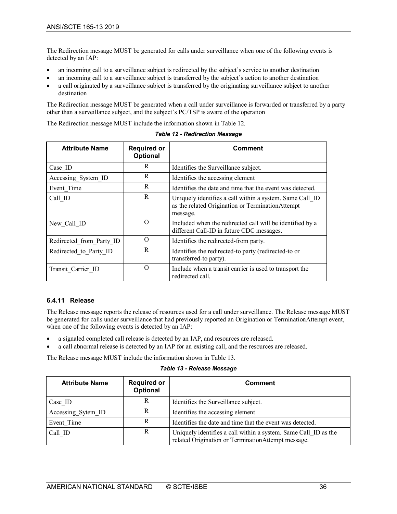The Redirection message MUST be generated for calls under surveillance when one of the following events is detected by an IAP:

- an incoming call to a surveillance subject is redirected by the subject's service to another destination
- an incoming call to a surveillance subject is transferred by the subject's action to another destination
- a call originated by a surveillance subject is transferred by the originating surveillance subject to another destination

The Redirection message MUST be generated when a call under surveillance is forwarded or transferred by a party other than a surveillance subject, and the subject's PC/TSP is aware of the operation

The Redirection message MUST include the information shown in [Table 12.](#page-35-1)

<span id="page-35-1"></span>

| <b>Attribute Name</b>    | <b>Required or</b><br>Optional | Comment                                                                                                                  |
|--------------------------|--------------------------------|--------------------------------------------------------------------------------------------------------------------------|
| Case ID                  | R                              | Identifies the Surveillance subject.                                                                                     |
| Accessing System ID      | R                              | Identifies the accessing element                                                                                         |
| Event Time               | R                              | Identifies the date and time that the event was detected.                                                                |
| Call ID                  | R                              | Uniquely identifies a call within a system. Same Call ID<br>as the related Origination or TerminationAttempt<br>message. |
| New Call ID              | $\Omega$                       | Included when the redirected call will be identified by a<br>different Call-ID in future CDC messages.                   |
| Redirected from Party ID | $\Omega$                       | Identifies the redirected-from party.                                                                                    |
| Redirected to Party ID   | R                              | Identifies the redirected-to party (redirected-to or<br>transferred-to party).                                           |
| Transit Carrier ID       | $\Omega$                       | Include when a transit carrier is used to transport the<br>redirected call.                                              |

*Table 12 - Redirection Message*

#### <span id="page-35-0"></span>**6.4.11 Release**

The Release message reports the release of resources used for a call under surveillance. The Release message MUST be generated for calls under surveillance that had previously reported an Origination or TerminationAttempt event, when one of the following events is detected by an IAP:

- a signaled completed call release is detected by an IAP, and resources are released.
- a call abnormal release is detected by an IAP for an existing call, and the resources are released.

The Release message MUST include the information shown in [Table 13.](#page-35-2)

*Table 13 - Release Message*

<span id="page-35-2"></span>

| <b>Attribute Name</b> | <b>Required or</b><br><b>Optional</b> | <b>Comment</b>                                                                                                         |
|-----------------------|---------------------------------------|------------------------------------------------------------------------------------------------------------------------|
| Case ID               | R                                     | Identifies the Surveillance subject.                                                                                   |
| Accessing Sytem ID    | R                                     | Identifies the accessing element                                                                                       |
| Event Time            | R                                     | Identifies the date and time that the event was detected.                                                              |
| Call ID               | R                                     | Uniquely identifies a call within a system. Same Call ID as the<br>related Origination or Termination Attempt message. |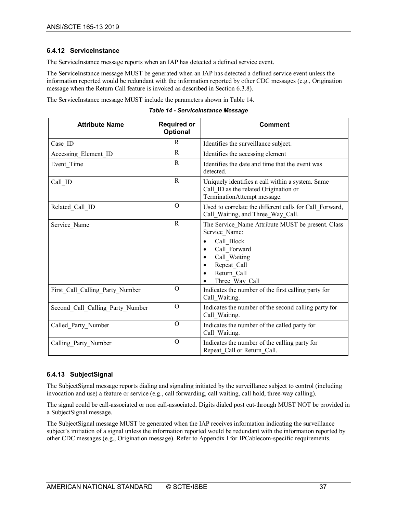#### <span id="page-36-0"></span>**6.4.12 ServiceInstance**

The ServiceInstance message reports when an IAP has detected a defined service event.

The ServiceInstance message MUST be generated when an IAP has detected a defined service event unless the information reported would be redundant with the information reported by other CDC messages (e.g., Origination message when the Return Call feature is invoked as described in Sectio[n 6.3.8\)](#page-27-2).

The ServiceInstance message MUST include the parameters shown i[n Table 14.](#page-36-2)

*Table 14 - ServiceInstance Message*

<span id="page-36-2"></span>

| <b>Attribute Name</b>            | <b>Required or</b><br>Optional | <b>Comment</b>                                                                                                                                                   |
|----------------------------------|--------------------------------|------------------------------------------------------------------------------------------------------------------------------------------------------------------|
| Case ID                          | R                              | Identifies the surveillance subject.                                                                                                                             |
| Accessing_Element_ID             | $\mathbb{R}$                   | Identifies the accessing element                                                                                                                                 |
| Event Time                       | R                              | Identifies the date and time that the event was<br>detected.                                                                                                     |
| Call_ID                          | $\mathbb{R}$                   | Uniquely identifies a call within a system. Same<br>Call ID as the related Origination or<br>TerminationAttempt message.                                         |
| Related Call ID                  | $\Omega$                       | Used to correlate the different calls for Call Forward,<br>Call_Waiting, and Three_Way_Call.                                                                     |
| Service Name                     | R                              | The Service Name Attribute MUST be present. Class<br>Service Name:<br>Call Block<br>Call Forward<br>Call Waiting<br>Repeat_Call<br>Return Call<br>Three_Way_Call |
| First_Call_Calling_Party_Number  | $\overline{O}$                 | Indicates the number of the first calling party for<br>Call Waiting.                                                                                             |
| Second Call Calling Party Number | $\Omega$                       | Indicates the number of the second calling party for<br>Call Waiting.                                                                                            |
| Called Party Number              | $\mathcal{O}$                  | Indicates the number of the called party for<br>Call Waiting.                                                                                                    |
| Calling Party Number             | $\Omega$                       | Indicates the number of the calling party for<br>Repeat_Call or Return_Call.                                                                                     |

#### <span id="page-36-1"></span>**6.4.13 SubjectSignal**

The SubjectSignal message reports dialing and signaling initiated by the surveillance subject to control (including invocation and use) a feature or service (e.g., call forwarding, call waiting, call hold, three-way calling).

The signal could be call-associated or non call-associated. Digits dialed post cut-through MUST NOT be provided in a SubjectSignal message.

The SubjectSignal message MUST be generated when the IAP receives information indicating the surveillance subject's initiation of a signal unless the information reported would be redundant with the information reported by other CDC messages (e.g., Origination message). Refer to [Appendix I](#page-45-0) for IPCablecom-specific requirements.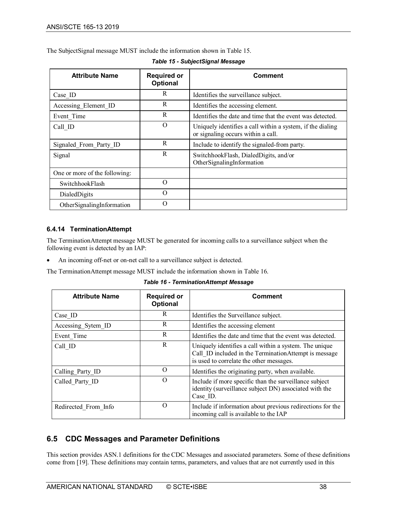The SubjectSignal message MUST include the information shown in [Table 15.](#page-37-2)

<span id="page-37-2"></span>

| <b>Attribute Name</b>         | <b>Required or</b><br>Optional | Comment                                                                                          |
|-------------------------------|--------------------------------|--------------------------------------------------------------------------------------------------|
| Case ID                       | R                              | Identifies the surveillance subject.                                                             |
| Accessing Element ID          | R                              | Identifies the accessing element.                                                                |
| Event Time                    | R                              | Identifies the date and time that the event was detected.                                        |
| Call ID                       | $\Omega$                       | Uniquely identifies a call within a system, if the dialing<br>or signaling occurs within a call. |
| Signaled From Party ID        | R                              | Include to identify the signaled-from party.                                                     |
| Signal                        | R                              | SwitchhookFlash, DialedDigits, and/or<br>OtherSignalingInformation                               |
| One or more of the following: |                                |                                                                                                  |
| SwitchhookFlash               | $\Omega$                       |                                                                                                  |
| DialedDigits                  | $\Omega$                       |                                                                                                  |
| OtherSignalingInformation     | 0                              |                                                                                                  |

*Table 15 - SubjectSignal Message*

#### <span id="page-37-0"></span>**6.4.14 TerminationAttempt**

The TerminationAttempt message MUST be generated for incoming calls to a surveillance subject when the following event is detected by an IAP:

An incoming off-net or on-net call to a surveillance subject is detected.

<span id="page-37-3"></span>The TerminationAttempt message MUST include the information shown in [Table 16.](#page-37-3)

*Table 16 - TerminationAttempt Message*

| <b>Attribute Name</b> | <b>Required or</b><br>Optional | <b>Comment</b>                                                                                                                                              |
|-----------------------|--------------------------------|-------------------------------------------------------------------------------------------------------------------------------------------------------------|
| Case ID               | R                              | Identifies the Surveillance subject.                                                                                                                        |
| Accessing Sytem ID    | R                              | Identifies the accessing element                                                                                                                            |
| Event Time            | R                              | Identifies the date and time that the event was detected.                                                                                                   |
| Call ID               | R                              | Uniquely identifies a call within a system. The unique<br>Call ID included in the TerminationAttempt is message<br>is used to correlate the other messages. |
| Calling Party ID      | $\Omega$                       | Identifies the originating party, when available.                                                                                                           |
| Called Party ID       | $\Omega$                       | Include if more specific than the surveillance subject<br>identity (surveillance subject DN) associated with the<br>Case ID.                                |
| Redirected From Info  | $\Omega$                       | Include if information about previous redirections for the<br>incoming call is available to the IAP                                                         |

# <span id="page-37-1"></span>**6.5 CDC Messages and Parameter Definitions**

This section provides ASN.1 definitions for the CDC Messages and associated parameters. Some of these definitions come from [\[19\].](#page-12-3) These definitions may contain terms, parameters, and values that are not currently used in this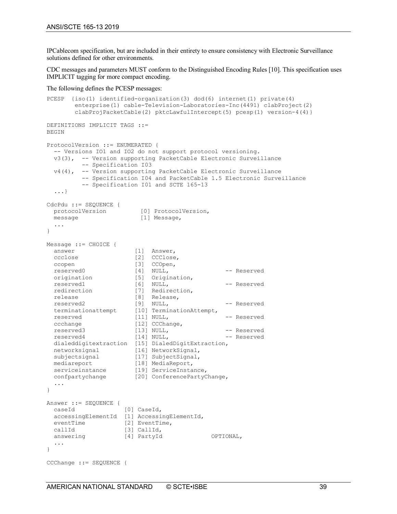IPCablecom specification, but are included in their entirety to ensure consistency with Electronic Surveillance solutions defined for other environments.

CDC messages and parameters MUST conform to the Distinguished Encoding Rules [\[10\].](#page-12-20) This specification uses IMPLICIT tagging for more compact encoding.

The following defines the PCESP messages:

```
PCESP {iso(1) identified-organization(3) dod(6) internet(1) private(4) 
         enterprise(1) cable-Television-Laboratories-Inc(4491) clabProject(2) 
        clabProjPacketCable(2) pktcLawfulIntercept(5) pcesp(1) version-4(4)}
DEFINITIONS IMPLICIT TAGS ::=
BEGIN
ProtocolVersion ::= ENUMERATED { 
   -- Versions IO1 and IO2 do not support protocol versioning.
   v3(3), -- Version supporting PacketCable Electronic Surveillance 
           -- Specification I03
   v4(4), -- Version supporting PacketCable Electronic Surveillance 
           -- Specification I04 and PacketCable 1.5 Electronic Surveillance
          -- Specification I01 and SCTE 165-13
   ...}
CdcPdu ::= SEQUENCE {
  protocolVersion [0] ProtocolVersion,<br>message [1] Message,
                         [1] Message,
   ...
}
Message ::= CHOICE {
  answer [1] Answer,
 ccclose [2] CCClose,<br>ccopen [3] CCOpen,
 ccopen [3] CCOpen,<br>reserved0 [4] NULL,
 reserved0 [4] NULL, -- Reserved
 origination [5] Origination,
  reserved1 [6] NULL, -- Reserved<br>
redirection [7] Redirection, \begin{array}{ccc} & - & \text{Reserved} \\ \text{release} & & \text{[8]} & \text{Release} & \text{P} \\ \end{array} redirection [7] Redirection,
 release [8] Release,
reserved2         [9]  NULL,          -- Reserved
 terminationattempt [10] TerminationAttempt,
 reserved [11] NULL, -- Reserved
 ccchange [12] CCChange,
reserved3 [13] NULL, -- Reserved
 reserved4 [14] NULL, -- Reserved
   dialeddigitextraction [15] DialedDigitExtraction,
  networksignal [16] NetworkSignal,
 subjectsignal [17] SubjectSignal,<br>mediareport [18] MediaReport,
                       [18] MediaReport,
 serviceinstance [19] ServiceInstance,
 confpartychange [20] ConferencePartyChange,
   ...
}
Answer ::= SEQUENCE {
  caseId [0] CaseId,
   accessingElementId [1] AccessingElementId,
 eventTime [2] EventTime,<br>callId [3] CallId,
  callId [3] CallId,<br>answering [4] PartyId
                 [4] PartyId OPTIONAL,
   ...
}
CCChange ::= SEQUENCE {
```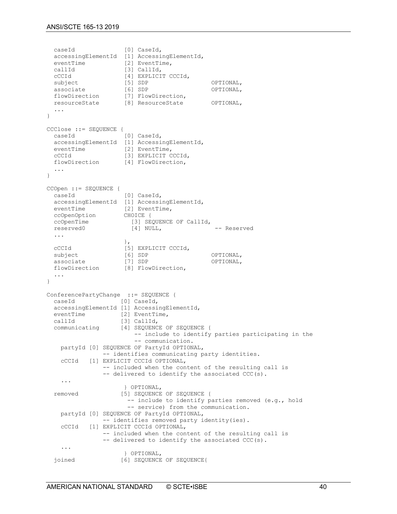```
caseId [0] CaseId,
   accessingElementId [1] AccessingElementId,
  eventTime [2] EventTime,<br>callId [3] CallId,
  callId [3] CallId,<br>cCCId [41 EXPLICT]
  cCCId [4] EXPLICIT CCCId,<br>subject [5] SDP
  subject [5] SDP         OPTIONAL,<br>associate       [6] SDP         OPTIONAL,
associate [6] SDP OPTIONAL,
 flowDirection [7] FlowDirection,
 resourceState [8] ResourceState OPTIONAL,
   ...
}
CCClose ::= SEQUENCE {
                          [0] CaseId,
  accessingElementId [1] AccessingElementId,<br>eventTime [2] EventTime,
  eventTime<br>cCCId
  cCCId [3] EXPLICIT CCCId,<br>flowDirection [4] FlowDirection,
                         [4] FlowDirection,
   ...
}
CCOpen ::= SEQUENCE {
   caseId [0] CaseId,
 accessingElementId [1] AccessingElementId,
 eventTime [2] EventTime,
  ccOpenOption CHOICE {<br>ccOpenTime [3] SEQ
 ccOpenTime [3] SEQUENCE OF CallId,
reserved0 [4] NULL, -- Reserved
   ...
\},
  cCCId [5] EXPLICIT CCCId,<br>subject [6] SDP
                          Subject [6] SDP OPTIONAL,<br>[7] SDP OPTIONAL,
  associate<br>flowDirection
                         [8] FlowDirection,
   ...
}
ConferencePartyChange := SEQUENCE {<br>caseId [0] CaseId.
                        [0] CaseId,
   accessingElementId [1] AccessingElementId,
  eventTime [2] EventTime,<br>callId [3] CallId.
  callId [3] CallId,<br>communicating [4] SEQUENC
                        [4] SEQUENCE OF SEQUENCE {
                               -- include to identify parties participating in the 
                               -- communication.
     partyId [0] SEQUENCE OF PartyId OPTIONAL,
    -- identifies communicating party identities.<br>cCCId [1] EXPLICIT CCCId OPTIONAL,
              [1] EXPLICIT CCCId OPTIONAL,
                    -- included when the content of the resulting call is
                   -- delivered to identify the associated CCC(s).
      ...
  \begin{tabular}{ll} 1.5cm & 3.5cm & 3.5cm \\ 2.5cm & 3.5cm & 3.5cm \\ 2.5cm & 3.5cm & 3.5cm \\ 2.5cm & 3.5cm & 3.5cm \\ 2.5cm & 3.5cm & 3.5cm \\ 2.5cm & 3.5cm & 3.5cm \\ 3.5cm & 3.5cm & 3.5cm \\ 4.5cm & 3.5cm & 3.5cm \\ 5.5cm & 3.5cm & 3.5cm \\ 7.5cm & 3.5cm & 3.5cm \\ 7.5cm & 3.5cm & 3.5cm \\ 7.5cm & 3.5cm & 3.[5] SEQUENCE OF SEQUENCE {
                            -- include to identify parties removed (e.g., hold
                             -- service) from the communication.
     partyId [0] SEQUENCE OF PartyId OPTIONAL,
    -- identifies removed party identity(ies).<br>cCCId [1] EXPLICIT CCCId OPTIONAL.
              [1] EXPLICIT CCCId OPTIONAL,
                    -- included when the content of the resulting call is
                   -- delivered to identify the associated CCC(s).
      ...
                           } OPTIONAL,
   joined [6] SEQUENCE OF SEQUENCE{
```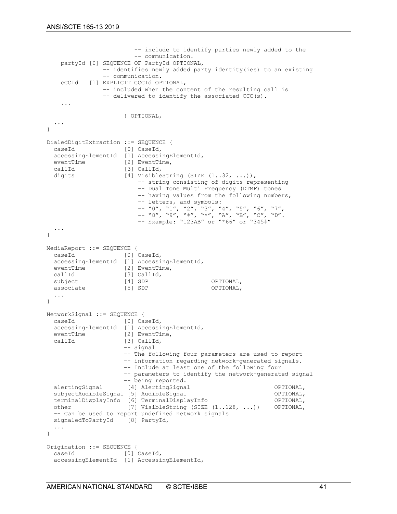```
 -- include to identify parties newly added to the
                            -- communication.
     partyId [0] SEQUENCE OF PartyId OPTIONAL,
                  -- identifies newly added party identity(ies) to an existing
    -- communication.<br>CCCId [1] EXPLICIT CCCId OP
             [1] EXPLICIT CCCId OPTIONAL,
                  -- included when the content of the resulting call is
                 -- delivered to identify the associated CCC(s).
     ...
                         } OPTIONAL,
   ...
}
DialedDigitExtraction ::= SEQUENCE {<br>caseId [0] CaseId.
                       [0] CaseId,
  accessingElementId [1] AccessingElementId,<br>eventTime [2] EventTime,
                       [2] EventTime,
  callId [3] CallId,<br>digits [4] Visible
                        [4] VisibleString (SIZE (1..32, ...)),
                             -- string consisting of digits representing 
                             -- Dual Tone Multi Frequency (DTMF) tones 
                            -- having values from the following numbers,
 -- letters, and symbols: 
 -- "0", "1", "2", "3", "4", "5", "6", "7", 
 -- "8", "9", "#", "*", "A", "B", "C", "D". 
                            -- Example: "123AB" or "*66" or "345#"
   ...
}
MediaReport ::= SEQUENCE {<br>caseId [0]
             [0] CaseId,
   accessingElementId [1] AccessingElementId,
  eventTime [2] EventTime,<br>callId [3] CallId,
  callId [3] CallId,<br>subject [4] SDP
                      [4] SDP OPTIONAL,<br>[5] SDP OPTIONAL,
  associate
   ...
}
NetworkSignal ::= SEQUENCE {
 caseId [0] CaseId,
  accessingElementId [1] AccessingElementId,<br>eventTime [2] EventTime,
  eventTime [2] EventTime,<br>callId [3] CallId,
                       [3] CallId,
                        -- Signal
                        -- The following four parameters are used to report 
                         -- information regarding network-generated signals. 
                         -- Include at least one of the following four 
                         -- parameters to identify the network-generated signal 
  -- being reported.<br>alertingSignal [4] AlertingSigna
                       alertingSignal [4] AlertingSignal OPTIONAL,<br>1 (5) AudibleSignal OPTIONAL,
  subjectAudibleSignal [5] AudibleSignal (51 AudibleSignal OPTIONAL, COPTIONAL, COPTIONAL,
  terminalDisplayInfo [6] TerminalDisplayInfo (71 VisibleString (1.128, ...)) OPTIONAL,
                         [7] VisibleString (SIZE (1..128, ...))
   -- Can be used to report undefined network signals
  signaledToPartyId [8] PartyId,
   ...
}
Origination ::= SEQUENCE {
  caseId [0] CaseId,
   accessingElementId [1] AccessingElementId,
```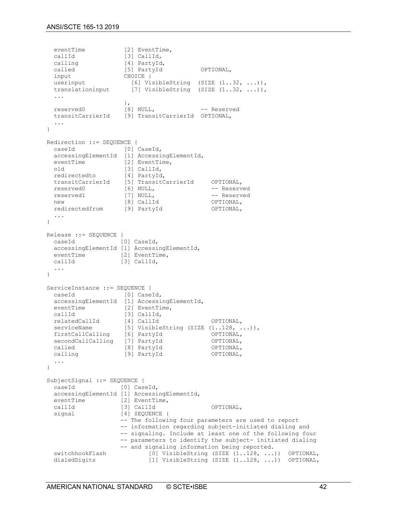```
eventTime [2] EventTime,<br>callId [3] CallId,
  callId [3] CallId,<br>
calling [4] PartyId
  calling [4] PartyId,<br>called [5] PartyId
  called [5] PartyId OPTIONAL,<br>
optional,<br>
optional CHOICE {
  input CHOICE {<br>userinput [6] Via
  userinput [6] VisibleString (SIZE (1..32, ...)),<br>translationinput [7] VisibleString (SIZE (1..32, ...)),
                         [7] VisibleString (SIZE (1..32, ...)),
   ...
\},
reserved0 [8] NULL,    -- Reserved
 transitCarrierId [9] TransitCarrierId OPTIONAL,
   ...
}
Redirection ::= SEQUENCE {<br>caseId [0] (
                        [0] CaseId,
  accessingElementId [1] AccessingElementId,<br>eventTime [2] EventTime,
  eventTime<br>old
                       [3] CallId,<br>[4] PartyId,
  redirectedto
   transitCarrierId [5] TransitCarrierId OPTIONAL,
  reserved0 [6] NULL,<br>reserved1 [7] NULL,
  reserved1 [7] NULL, - Reserved new [8] CallId - OPTIONAL,
new [8] CallId OPTIONAL,
 redirectedfrom [9] PartyId OPTIONAL,
   ...
}
Release ::= SEQUENCE {<br>caseId [1]
            [0] CaseId,
   accessingElementId [1] AccessingElementId,
 eventTime [2] EventTime,<br>callId [3] CallId,
                      [3] CallId,
   ...
}
ServiceInstance ::= SEQUENCE {<br>caseId [0] CaseId,
 caseId [0] CaseId,
 accessingElementId [1] AccessingElementId,
  eventTime [2] EventTime,<br>callId [3] CallId,
 callId [3] CallId,
 relatedCallId [4] CallId OPTIONAL,
  serviceName [5] VisibleString (SIZE (1..128, ...)),<br>firstCallCalling [6] PartyId OPTIONAL,
  firstCallCalling [6] PartyId OPTIONAL,<br>secondCallCalling [7] PartyId OPTIONAL,
  secondCallCalling [7] PartyId OPTIONAL,<br>called 181 PartyId OPTIONAL,
  called [8] PartyId OPTIONAL,<br>calling [9] PartyId OPTIONAL,
                       [9] PartyId
   ...
}
SubjectSignal ::= SEQUENCE {
  caseId [0] CaseId,
  accessingElementId [1] AccessingElementId,<br>eventTime [2] EventTime,
  eventTime [2] EventTime,<br>callId [3] CallId
  callId [3] CallId OPTIONAL,<br>
signal [4] SEQUENCE {
                       [4] SEQUENCE {
                        -- The following four parameters are used to report 
                         -- information regarding subject-initiated dialing and 
                         -- signaling. Include at least one of the following four 
                         -- parameters to identify the subject- initiated dialing 
  -- and signaling information being reported.<br>switchhookFlash [0] VisibleString (SIZE (1..128, ...)
  switchhookFlash [0] VisibleString (SIZE (1..128, ...)) OPTIONAL,<br>dialedDigits [1] VisibleString (SIZE (1..128, ...)) OPTIONAL,
                                 [1] VisibleString (SIZE (1..128, ...) OPTIONAL,
```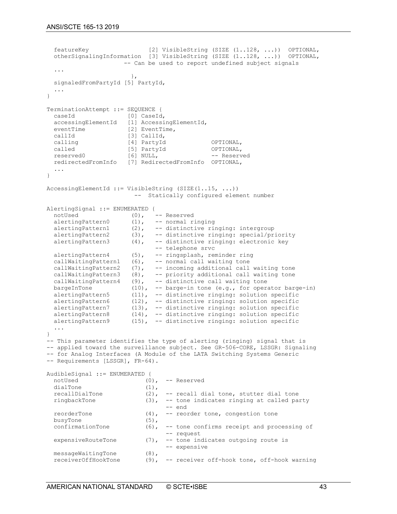```
 featureKey [2] VisibleString (SIZE (1..128, ...)) OPTIONAL,
   otherSignalingInformation [3] VisibleString (SIZE (1..128, ...)) OPTIONAL,
                           -- Can be used to report undefined subject signals
   ...
\},
   signaledFromPartyId [5] PartyId,
   ...
}
TerminationAttempt ::= SEQUENCE {<br>caseId [0] CaseId,
 caseId [0] CaseId,
 accessingElementId [1] AccessingElementId,
  eventTime [2] EventTime,<br>callId [3] CallId,
  callId [3] CallId,<br>
calling [4] PartyId
  calling [4] PartyId OPTIONAL,<br>called [5] PartyId OPTIONAL,
  called [5] PartyId [6] OPTIONAL,<br>
reserved [6] NULL, - Reserved
                           [6] NULL,
   redirectedFromInfo [7] RedirectedFromInfo OPTIONAL,
 ...
}
AccessingElementId ::= VisibleString (SIZE (1..15, ...)) -- Statically configured element number
AlertingSignal ::= ENUMERATED {<br>notUsed (0),
  notUsed (0), -- Reserved<br>alertingPattern0 (1), -- normal r:
  alertingPattern0 (1), -- normal ringing<br>alertingPattern1 (2), -- distinctive ri
  alertingPattern1 (2), -- distinctive ringing: intergroup<br>alertingPattern2 (3), -- distinctive ringing: special/pr
  alertingPattern2 (3), -- distinctive ringing: special/priority<br>alertingPattern3 (4), -- distinctive ringing: electronic key
                            (4), -- distinctive ringing: electronic key
  -- telephone srvc<br>alertingPattern4 (5), -- ringsplash, rem
                            (5), -- ringsplash, reminder ring
  callWaitingPattern1 (6), -- normal call waiting tone
   callWaitingPattern2 (7), -- incoming additional call waiting tone
  callWaitingPattern3 (8), -- priority additional call waiting tone<br>callWaitingPattern4 (9), -- distinctive call waiting tone
  callWaitingPattern4 (9), -- distinctive call waiting tone<br>bargeInTone (10), -- barge-in tone (e.g., for opera
  bargeInTone (10), -- barge-in tone (e.g., for operator barge-in)<br>alertingPattern5 (11), -- distinctive ringing: solution specific
 alertingPattern5 (11), -- distinctive ringing: solution specific
 alertingPattern6 (12), -- distinctive ringing: solution specific
  alertingPattern7 (13), -- distinctive ringing: solution specific alertingPattern8 (14), -- distinctive ringing: solution specific
  alertingPattern8 (14), -- distinctive ringing: solution specific<br>alertingPattern9 (15), -- distinctive ringing: solution specific
                            (15), -- distinctive ringing: solution specific
   ...
}
-- This parameter identifies the type of alerting (ringing) signal that is 
-- applied toward the surveillance subject. See GR-506-CORE, LSSGR: Signaling 
-- for Analog Interfaces (A Module of the LATA Switching Systems Generic 
-- Requirements [LSSGR], FR-64).
AudibleSignal ::= ENUMERATED {<br>notUsed (0),
                                  (0), -- Reserved<br>(1),
  dialTone (1),<br>recallDialTone (2),
  recallDialTone (2), -- recall dial tone, stutter dial tone ringbackTone (3), -- tone indicates ringing at called pa
                                         -- tone indicates ringing at called party<br>-- end
 -- end
  reorderTone (4), -- reorder tone, congestion tone<br>busyTone (5),
  busyTone (5),<br>confirmationTone (6),
                                         -- tone confirms receipt and processing of
  expensiveRouteTone (7), -- request
                                  (7), -- tone indicates outgoing route is
                                  -- expensive (8),
  messageWaitingTone<br>receiverOffHookTone
                                  (9), - receiver off-hook tone, off-hook warning
```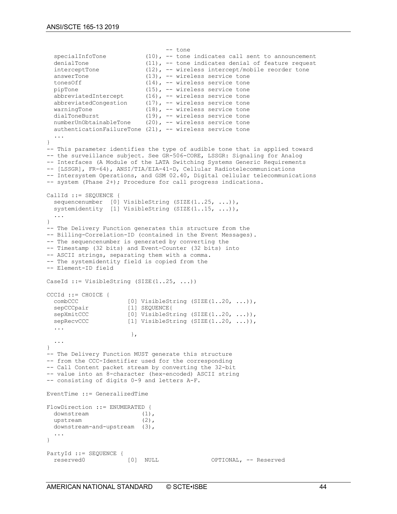```
tone --<br>specialInfoTone (10), -- tone
  specialInfoTone (10), -- tone indicates call sent to announcement<br>denialTone (11), -- tone indicates denial of feature request
                                 (11), -- tone indicates denial of feature request
  interceptTone (12), -- wireless intercept/mobile reorder tone<br>answerTone (13), -- wireless service tone
  answerTone (13), -- wireless service tone<br>tonesOff (14), -- wireless service tone
  tonesOff (14), -- wireless service tone<br>pipTone (15), -- wireless service tone
  pipTone (15), -- wireless service tone<br>abbreviatedIntercept (16), -- wireless service tone
  abbreviatedIntercept (16), -- wireless service tone<br>abbreviatedCongestion (17), -- wireless service tone
  abbreviatedCongestion (17), -- wireless service tone<br>warningTone (18), -- wireless service tone
  warningTone (18), - wireless service tone<br>dialToneBurst (19), - wireless service tone
  dialToneBurst (19), - wireless service tone<br>numberUnObtainableTone (20), - wireless service tone
                                 (20), -- wireless service tone
   authenticationFailureTone (21), -- wireless service tone
 ...
}
-- This parameter identifies the type of audible tone that is applied toward 
-- the surveillance subject. See GR-506-CORE, LSSGR: Signaling for Analog 
-- Interfaces (A Module of the LATA Switching Systems Generic Requirements 
-- [LSSGR], FR-64), ANSI/TIA/EIA-41-D, Cellular Radiotelecommunications 
-- Intersystem Operations, and GSM 02.40, Digital cellular telecommunications 
-- system (Phase 2+); Procedure for call progress indications.
CallId ::= SEQUENCE {
 sequencenumber [0] VisibleString (SIZE(1..25, ...)),
 systemidentity [1] VisibleString (SIZE(1..15, ...)),
 ...
}
-- The Delivery Function generates this structure from the
-- Billing-Correlation-ID (contained in the Event Messages).
-- The sequencenumber is generated by converting the
-- Timestamp (32 bits) and Event-Counter (32 bits) into 
-- ASCII strings, separating them with a comma. 
-- The systemidentity field is copied from the 
-- Element-ID field
CaseId ::= VisibleString (SIZE(1..25, ...))
CCCId ::= CHOICE {
  combCCC [0] VisibleString (SIZE(1..20, ...)),<br>sepCCCpair [1] SEQUENCE{
  sepCCCpair [1] SEQUENCE{<br>sepXmitCCC [0] VisibleSt
  sepXmitCCC [0] VisibleString (SIZE(1..20, ...)),<br>sepRecvCCC [1] VisibleString (SIZE(1..20, ...)),
                           [1] VisibleString (SIZE(1..20, ...)), ...
\},
   ...
} 
-- The Delivery Function MUST generate this structure
-- from the CCC-Identifier used for the corresponding
-- Call Content packet stream by converting the 32-bit
-- value into an 8-character (hex-encoded) ASCII string
-- consisting of digits 0-9 and letters A-F.
EventTime ::= GeneralizedTime
FlowDirection ::= ENUMERATED {
  downstream (1),<br>upstream (2),
  unstream
   downstream-and-upstream (3),
   ...
}
PartyId ::= SEQUENCE {<br>reserved0
                           [0] NULL OPTIONAL, -- Reserved
```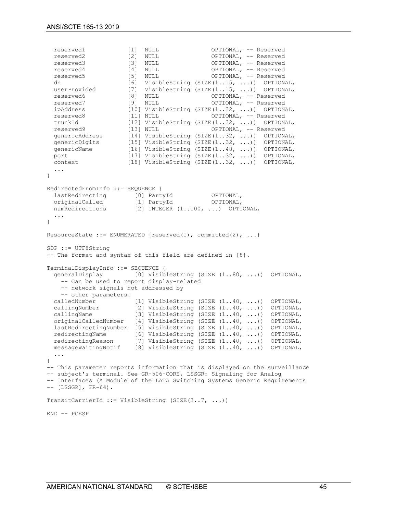reserved1  $[1]$  NULL  $[2]$  OPTIONAL, -- Reserved reserved  $[2]$  NULL  $[3]$ reserved2  $[2]$  NULL OPTIONAL, -- Reserved<br>reserved3  $[3]$  NULL OPTIONAL, -- Reserved OPTIONAL, -- Reserved reserved4 [4] NULL OPTIONAL, -- Reserved reserved5 [5] NULL OPTIONAL, -- Reserved<br>dn [6] VisibleString (SIZE(1..15, ...)) OPTIONAL, dn [6] VisibleString (SIZE(1..15, ...)) OPTIONAL, userProvided [7] VisibleString (SIZE(1..15, ...)) OPTIONAL, reserved6 [8] NULL OPTIONAL, -- Reserved reserved7 [9] NULL OPTIONAL, -- Reserved<br>ipAddress [10] VisibleString (SIZE(1..32, ...)) OPTION ipAddress [10] VisibleString (SIZE(1..32, ...)) OPTIONAL,<br>reserved8 [11] NULL OPTIONAL, -- Reserved OPTIONAL, -- Reserved trunkId [12] VisibleString (SIZE(1..32, ...)) OPTIONAL,<br>reserved9 [13] NULL OPTIONAL, -- Reserved reserved9 [13] NULL OPTIONAL, -- Reserved<br>genericAddress [14] VisibleString (SIZE(1..32, ...)) OPTION genericAddress [14] VisibleString (SIZE(1..32, ...)) OPTIONAL,<br>genericDigits [15] VisibleString (SIZE(1..32, ...)) OPTIONAL, genericDigits [15] VisibleString (SIZE(1..32, ...)) OPTIONAL,<br>genericName [16] VisibleString (SIZE(1..48, ...)) OPTIONAL, genericName [16] VisibleString (SIZE(1..48, ...)) OPTIONAL,<br>port [17] VisibleString (SIZE(1..32, ...)) OPTIONAL, port [17] VisibleString (SIZE(1..32, ...)) OPTIONAL,<br>context [18] VisibleString (SIZE(1..32, ...)) OPTIONAL, [18] VisibleString (SIZE $(1..32, ...)$  OPTIONAL, ... } RedirectedFromInfo ::= SEQUENCE { lastRedirecting [0] PartyId OPTIONAL,<br>originalCalled [1] PartyId OPTIONAL, originalCalled [1] PartyId OPTIONAL, numRedirections [2] INTEGER (1..100, ...) OPTIONAL, ... } ResourceState ::= ENUMERATED {reserved(1), committed(2), ...} SDP ::= UTF8String -- The format and syntax of this field are defined in [8]. TerminalDisplayInfo ::= SEQUENCE {<br>generalDisplay [0] Visib [0] VisibleString (SIZE (1..80, ...)) OPTIONAL, -- Can be used to report display-related -- network signals not addressed by -- other parameters.<br>calledNumber calledNumber [1] VisibleString (SIZE (1..40, ...)) OPTIONAL,<br>callingNumber [2] VisibleString (SIZE (1..40, ...)) OPTIONAL, callingNumber [2] VisibleString (SIZE (1..40, ...)) OPTIONAL,<br>callingName [3] VisibleString (SIZE (1..40, ...)) OPTIONAL, [3] VisibleString (SIZE  $(1..40, ...)$ ) OPTIONAL, originalCalledNumber [4] VisibleString (SIZE (1..40, ...)) OPTIONAL, lastRedirectingNumber [5] VisibleString (SIZE  $(1..40, ...)$ ) OPTIONAL,<br>redirectingName [6] VisibleString (SIZE  $(1..40, ...)$ ) OPTIONAL,<br>redirectingReason [7] VisibleString (SIZE  $(1..40, ...)$ ) OPTIONAL, [6] VisibleString (SIZE  $(1..40, ...)$ ) OPTIONAL, [7] VisibleString (SIZE  $(1..40, ...)$ ) OPTIONAL, messageWaitingNotif [8] VisibleString (SIZE (1..40, ...)) OPTIONAL, ... } -- This parameter reports information that is displayed on the surveillance -- subject's terminal. See GR-506-CORE, LSSGR: Signaling for Analog -- Interfaces (A Module of the LATA Switching Systems Generic Requirements -- [LSSGR], FR-64). TransitCarrierId ::= VisibleString  $(SIZE(3..7, ...)$ END -- PCESP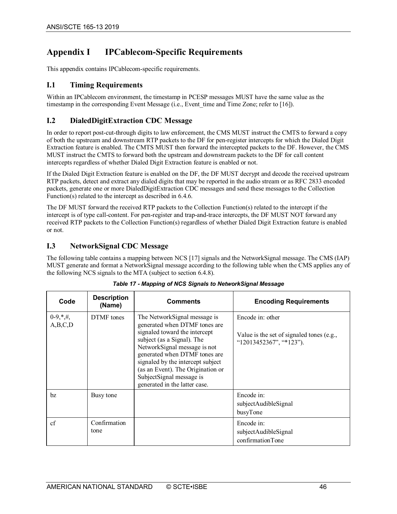# <span id="page-45-0"></span>**Appendix I IPCablecom-Specific Requirements**

This appendix contains IPCablecom-specific requirements.

## <span id="page-45-1"></span>**I.1 Timing Requirements**

Within an IPCablecom environment, the timestamp in PCESP messages MUST have the same value as the timestamp in the corresponding Event Message (i.e., Event time and Time Zone; refer t[o \[16\]\)](#page-12-21).

## <span id="page-45-2"></span>**I.2 DialedDigitExtraction CDC Message**

In order to report post-cut-through digits to law enforcement, the CMS MUST instruct the CMTS to forward a copy of both the upstream and downstream RTP packets to the DF for pen-register intercepts for which the Dialed Digit Extraction feature is enabled. The CMTS MUST then forward the intercepted packets to the DF. However, the CMS MUST instruct the CMTS to forward both the upstream and downstream packets to the DF for call content intercepts regardless of whether Dialed Digit Extraction feature is enabled or not.

If the Dialed Digit Extraction feature is enabled on the DF, the DF MUST decrypt and decode the received upstream RTP packets, detect and extract any dialed digits that may be reported in the audio stream or as RFC 2833 encoded packets, generate one or more DialedDigitExtraction CDC messages and send these messages to the Collection Function(s) related to the intercept as described i[n 6.4.6.](#page-31-1)

The DF MUST forward the received RTP packets to the Collection Function(s) related to the intercept if the intercept is of type call-content. For pen-register and trap-and-trace intercepts, the DF MUST NOT forward any received RTP packets to the Collection Function(s) regardless of whether Dialed Digit Extraction feature is enabled or not.

## <span id="page-45-3"></span>**I.3 NetworkSignal CDC Message**

The following table contains a mapping between NC[S \[17\]](#page-12-17) signals and the NetworkSignal message. The CMS (IAP) MUST generate and format a NetworkSignal message according to the following table when the CMS applies any of the following NCS signals to the MTA (subject to section [6.4.8\)](#page-33-0).

<span id="page-45-4"></span>

| Code                    | <b>Description</b><br>(Name) | <b>Comments</b>                                                                                                                                                                                                                                                                                                                       | <b>Encoding Requirements</b>                                                             |
|-------------------------|------------------------------|---------------------------------------------------------------------------------------------------------------------------------------------------------------------------------------------------------------------------------------------------------------------------------------------------------------------------------------|------------------------------------------------------------------------------------------|
| $0-9, *, \#$<br>A,B,C,D | DTMF tones                   | The Network Signal message is<br>generated when DTMF tones are<br>signaled toward the intercept<br>subject (as a Signal). The<br>NetworkSignal message is not<br>generated when DTMF tones are<br>signaled by the intercept subject<br>(as an Event). The Origination or<br>SubjectSignal message is<br>generated in the latter case. | Encode in: other<br>Value is the set of signaled tones (e.g.,<br>"12013452367", "*123"). |
| bz                      | Busy tone                    |                                                                                                                                                                                                                                                                                                                                       | Encode in:<br>subjectAudibleSignal<br>busyTone                                           |
| cf                      | Confirmation<br>tone         |                                                                                                                                                                                                                                                                                                                                       | Encode in:<br>subjectAudibleSignal<br>confirmationTone                                   |

|  |  | Table 17 - Mapping of NCS Signals to NetworkSignal Message |
|--|--|------------------------------------------------------------|
|  |  |                                                            |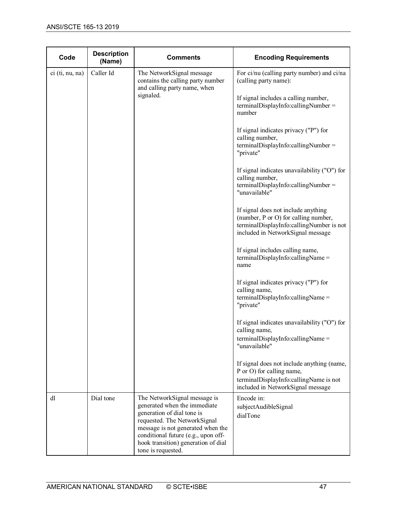| Code            | <b>Description</b><br>(Name) | <b>Comments</b>                                                                                                                                                                                                                               | <b>Encoding Requirements</b>                                                                                                                                 |
|-----------------|------------------------------|-----------------------------------------------------------------------------------------------------------------------------------------------------------------------------------------------------------------------------------------------|--------------------------------------------------------------------------------------------------------------------------------------------------------------|
| ci (ti, nu, na) | Caller Id                    | The NetworkSignal message<br>contains the calling party number<br>and calling party name, when<br>signaled.                                                                                                                                   | For ci/nu (calling party number) and ci/na<br>(calling party name):                                                                                          |
|                 |                              |                                                                                                                                                                                                                                               | If signal includes a calling number,<br>terminalDisplayInfo:callingNumber =<br>number                                                                        |
|                 |                              |                                                                                                                                                                                                                                               | If signal indicates privacy ("P") for<br>calling number,<br>terminalDisplayInfo:callingNumber =<br>"private"                                                 |
|                 |                              |                                                                                                                                                                                                                                               | If signal indicates unavailability ("O") for<br>calling number,<br>terminalDisplayInfo:callingNumber =<br>"unavailable"                                      |
|                 |                              |                                                                                                                                                                                                                                               | If signal does not include anything<br>(number, P or O) for calling number,<br>terminalDisplayInfo:callingNumber is not<br>included in NetworkSignal message |
|                 |                              |                                                                                                                                                                                                                                               | If signal includes calling name,<br>$terminal DisplayInfo: calling Name =$<br>name                                                                           |
|                 |                              |                                                                                                                                                                                                                                               | If signal indicates privacy ("P") for<br>calling name,<br>terminalDisplayInfo:callingName =<br>"private"                                                     |
|                 |                              |                                                                                                                                                                                                                                               | If signal indicates unavailability ("O") for<br>calling name,<br>terminalDisplayInfo:callingName =<br>"unavailable"                                          |
|                 |                              |                                                                                                                                                                                                                                               | If signal does not include anything (name,<br>P or O) for calling name,<br>terminalDisplayInfo:callingName is not<br>included in NetworkSignal message       |
| dl              | Dial tone                    | The NetworkSignal message is<br>generated when the immediate<br>generation of dial tone is<br>requested. The NetworkSignal<br>message is not generated when the<br>conditional future (e.g., upon off-<br>hook transition) generation of dial | Encode in:<br>subjectAudibleSignal<br>dialTone                                                                                                               |
|                 |                              | tone is requested.                                                                                                                                                                                                                            |                                                                                                                                                              |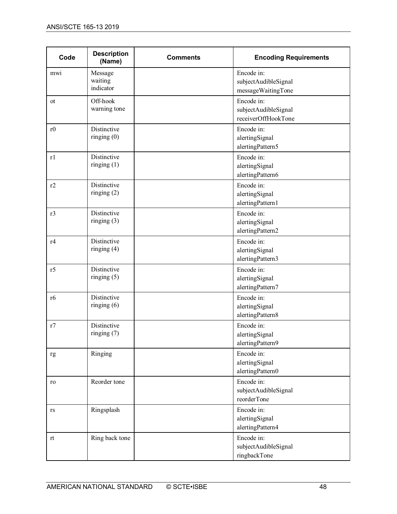| Code           | <b>Description</b><br>(Name)    | <b>Comments</b> | <b>Encoding Requirements</b>                              |
|----------------|---------------------------------|-----------------|-----------------------------------------------------------|
| mwi            | Message<br>waiting<br>indicator |                 | Encode in:<br>subjectAudibleSignal<br>messageWaitingTone  |
| <sub>ot</sub>  | Off-hook<br>warning tone        |                 | Encode in:<br>subjectAudibleSignal<br>receiverOffHookTone |
| r0             | Distinctive<br>ringing $(0)$    |                 | Encode in:<br>alertingSignal<br>alertingPattern5          |
| r1             | Distinctive<br>ringing $(1)$    |                 | Encode in:<br>alertingSignal<br>alertingPattern6          |
| r2             | Distinctive<br>ringing $(2)$    |                 | Encode in:<br>alertingSignal<br>alertingPattern1          |
| r3             | Distinctive<br>ringing $(3)$    |                 | Encode in:<br>alertingSignal<br>alertingPattern2          |
| r4             | Distinctive<br>ringing $(4)$    |                 | Encode in:<br>alertingSignal<br>alertingPattern3          |
| r5             | Distinctive<br>ringing $(5)$    |                 | Encode in:<br>alertingSignal<br>alertingPattern7          |
| r <sub>6</sub> | Distinctive<br>ringing $(6)$    |                 | Encode in:<br>alertingSignal<br>alertingPattern8          |
| r7             | Distinctive<br>ringing $(7)$    |                 | Encode in:<br>alertingSignal<br>alertingPattern9          |
| rg             | Ringing                         |                 | Encode in:<br>alertingSignal<br>alertingPattern0          |
| ro             | Reorder tone                    |                 | Encode in:<br>subjectAudibleSignal<br>reorderTone         |
| rs             | Ringsplash                      |                 | Encode in:<br>alertingSignal<br>alertingPattern4          |
| rt             | Ring back tone                  |                 | Encode in:<br>subjectAudibleSignal<br>ringbackTone        |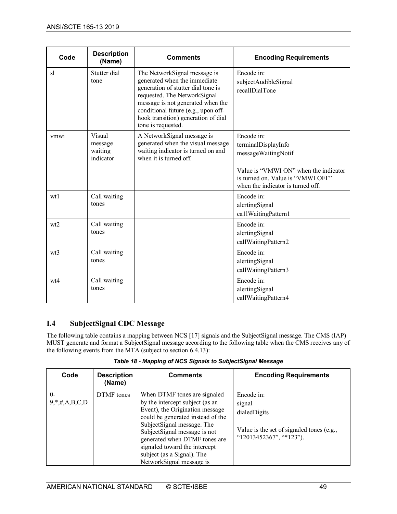| Code            | <b>Description</b><br>(Name)              | <b>Comments</b>                                                                                                                                                                                                                                                             | <b>Encoding Requirements</b>                                                                                                                                                |
|-----------------|-------------------------------------------|-----------------------------------------------------------------------------------------------------------------------------------------------------------------------------------------------------------------------------------------------------------------------------|-----------------------------------------------------------------------------------------------------------------------------------------------------------------------------|
| sl              | Stutter dial<br>tone                      | The NetworkSignal message is<br>generated when the immediate<br>generation of stutter dial tone is<br>requested. The NetworkSignal<br>message is not generated when the<br>conditional future (e.g., upon off-<br>hook transition) generation of dial<br>tone is requested. | Encode in:<br>subjectAudibleSignal<br>recallDialTone                                                                                                                        |
| V <sub>mw</sub> | Visual<br>message<br>waiting<br>indicator | A NetworkSignal message is<br>generated when the visual message<br>waiting indicator is turned on and<br>when it is turned off.                                                                                                                                             | Encode in:<br>terminalDisplayInfo<br>messageWaitingNotif<br>Value is "VMWI ON" when the indicator<br>is turned on. Value is "VMWI OFF"<br>when the indicator is turned off. |
| wt1             | Call waiting<br>tones                     |                                                                                                                                                                                                                                                                             | Encode in:<br>alertingSignal<br>ca1lWaitingPattern1                                                                                                                         |
| wt2             | Call waiting<br>tones                     |                                                                                                                                                                                                                                                                             | Encode in:<br>alertingSignal<br>callWaitingPattern2                                                                                                                         |
| wt3             | Call waiting<br>tones                     |                                                                                                                                                                                                                                                                             | Encode in:<br>alertingSignal<br>callWaitingPattern3                                                                                                                         |
| wt4             | Call waiting<br>tones                     |                                                                                                                                                                                                                                                                             | Encode in:<br>alertingSignal<br>callWaitingPattern4                                                                                                                         |

# <span id="page-48-0"></span>**I.4 SubjectSignal CDC Message**

The following table contains a mapping between NC[S \[17\]](#page-12-17) signals and the SubjectSignal message. The CMS (IAP) MUST generate and format a SubjectSignal message according to the following table when the CMS receives any of the following events from the MTA (subject to section [6.4.13\)](#page-36-1):

<span id="page-48-1"></span>

| Code                         | <b>Description</b><br>(Name) | <b>Comments</b>                                                                                                                                                                                                                                                                                                                    | <b>Encoding Requirements</b>                                                                                 |
|------------------------------|------------------------------|------------------------------------------------------------------------------------------------------------------------------------------------------------------------------------------------------------------------------------------------------------------------------------------------------------------------------------|--------------------------------------------------------------------------------------------------------------|
| $\theta$<br>$9, *,#,A,B,C,D$ | DTMF tones                   | When DTMF tones are signaled<br>by the intercept subject (as an<br>Event), the Origination message<br>could be generated instead of the<br>SubjectSignal message. The<br>Subject Signal message is not<br>generated when DTMF tones are<br>signaled toward the intercept<br>subject (as a Signal). The<br>NetworkSignal message is | Encode in:<br>signal<br>dialedDigits<br>Value is the set of signaled tones (e.g.,<br>"12013452367", "*123"). |

*Table 18 - Mapping of NCS Signals to SubjectSignal Message*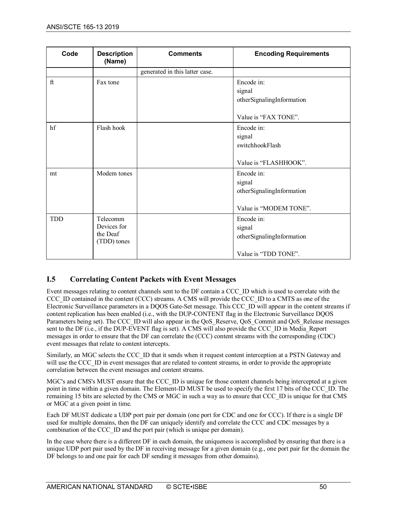| Code       | <b>Description</b><br>(Name)                       | <b>Comments</b>                | <b>Encoding Requirements</b>                                                |
|------------|----------------------------------------------------|--------------------------------|-----------------------------------------------------------------------------|
|            |                                                    | generated in this latter case. |                                                                             |
| $\rm{ft}$  | Fax tone                                           |                                | Encode in:<br>signal<br>otherSignalingInformation<br>Value is "FAX TONE".   |
| hf         | Flash hook                                         |                                | Encode in:<br>signal<br>switchhookFlash<br>Value is "FLASHHOOK".            |
| mt         | Modem tones                                        |                                | Encode in:<br>signal<br>otherSignalingInformation<br>Value is "MODEM TONE". |
| <b>TDD</b> | Telecomm<br>Devices for<br>the Deaf<br>(TDD) tones |                                | Encode in:<br>signal<br>otherSignalingInformation<br>Value is "TDD TONE".   |

# <span id="page-49-0"></span>**I.5 Correlating Content Packets with Event Messages**

Event messages relating to content channels sent to the DF contain a CCC\_ID which is used to correlate with the CCC\_ID contained in the content (CCC) streams. A CMS will provide the CCC\_ID to a CMTS as one of the Electronic Surveillance parameters in a DQOS Gate-Set message. This CCC\_ID will appear in the content streams if content replication has been enabled (i.e., with the DUP-CONTENT flag in the Electronic Surveillance DQOS Parameters being set). The CCC\_ID will also appear in the QoS\_Reserve, QoS\_Commit and QoS\_Release messages sent to the DF (i.e., if the DUP-EVENT flag is set). A CMS will also provide the CCC\_ID in Media\_Report messages in order to ensure that the DF can correlate the (CCC) content streams with the corresponding (CDC) event messages that relate to content intercepts.

Similarly, an MGC selects the CCC\_ID that it sends when it request content interception at a PSTN Gateway and will use the CCC. ID in event messages that are related to content streams, in order to provide the appropriate correlation between the event messages and content streams.

MGC's and CMS's MUST ensure that the CCC\_ID is unique for those content channels being intercepted at a given point in time within a given domain. The Element-ID MUST be used to specify the first 17 bits of the CCC\_ID. The remaining 15 bits are selected by the CMS or MGC in such a way as to ensure that CCC\_ID is unique for that CMS or MGC at a given point in time.

Each DF MUST dedicate a UDP port pair per domain (one port for CDC and one for CCC). If there is a single DF used for multiple domains, then the DF can uniquely identify and correlate the CCC and CDC messages by a combination of the CCC\_ID and the port pair (which is unique per domain).

In the case where there is a different DF in each domain, the uniqueness is accomplished by ensuring that there is a unique UDP port pair used by the DF in receiving message for a given domain (e.g., one port pair for the domain the DF belongs to and one pair for each DF sending it messages from other domains).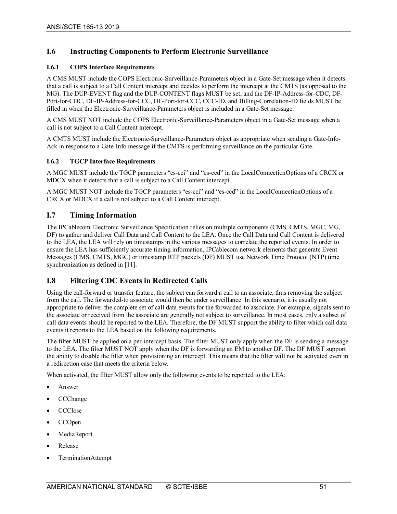## <span id="page-50-0"></span>**I.6 Instructing Components to Perform Electronic Surveillance**

#### <span id="page-50-1"></span>**I.6.1 COPS Interface Requirements**

A CMS MUST include the COPS Electronic-Surveillance-Parameters object in a Gate-Set message when it detects that a call is subject to a Call Content intercept and decides to perform the intercept at the CMTS (as opposed to the MG). The DUP-EVENT flag and the DUP-CONTENT flags MUST be set, and the DF-IP-Address-for-CDC, DF-Port-for-CDC, DF-IP-Address-for-CCC, DF-Port-for-CCC, CCC-ID, and Billing-Correlation-ID fields MUST be filled in when the Electronic-Surveillance-Parameters object is included in a Gate-Set message.

A CMS MUST NOT include the COPS Electronic-Surveillance-Parameters object in a Gate-Set message when a call is not subject to a Call Content intercept.

A CMTS MUST include the Electronic-Surveillance-Parameters object as appropriate when sending a Gate-Info-Ack in response to a Gate-Info message if the CMTS is performing surveillance on the particular Gate.

#### <span id="page-50-2"></span>**I.6.2 TGCP Interface Requirements**

A MGC MUST include the TGCP parameters "es-cci" and "es-ccd" in the LocalConnectionOptions of a CRCX or MDCX when it detects that a call is subject to a Call Content intercept.

A MGC MUST NOT include the TGCP parameters "es-cci" and "es-ccd" in the LocalConnectionOptions of a CRCX or MDCX if a call is not subject to a Call Content intercept.

#### <span id="page-50-3"></span>**I.7 Timing Information**

The IPCablecom Electronic Surveillance Specification relies on multiple components (CMS, CMTS, MGC, MG, DF) to gather and deliver Call Data and Call Content to the LEA. Once the Call Data and Call Content is delivered to the LEA, the LEA will rely on timestamps in the various messages to correlate the reported events. In order to ensure the LEA has sufficiently accurate timing information, IPCablecom network elements that generate Event Messages (CMS, CMTS, MGC) or timestamp RTP packets (DF) MUST use Network Time Protocol (NTP) time synchronization as defined in [\[11\].](#page-12-12)

#### <span id="page-50-4"></span>**I.8 Filtering CDC Events in Redirected Calls**

Using the call-forward or transfer feature, the subject can forward a call to an associate, thus removing the subject from the call. The forwarded-to associate would then be under surveillance. In this scenario, it is usually not appropriate to deliver the complete set of call data events for the forwarded-to associate. For example, signals sent to the associate or received from the associate are generally not subject to surveillance. In most cases, only a subset of call data events should be reported to the LEA. Therefore, the DF MUST support the ability to filter which call data events it reports to the LEA based on the following requirements.

The filter MUST be applied on a per-intercept basis. The filter MUST only apply when the DF is sending a message to the LEA. The filter MUST NOT apply when the DF is forwarding an EM to another DF. The DF MUST support the ability to disable the filter when provisioning an intercept. This means that the filter will not be activated even in a redirection case that meets the criteria below.

When activated, the filter MUST allow only the following events to be reported to the LEA:

- Answer
- CCChange
- CCClose
- CCOpen
- **MediaReport**
- Release
- TerminationAttempt